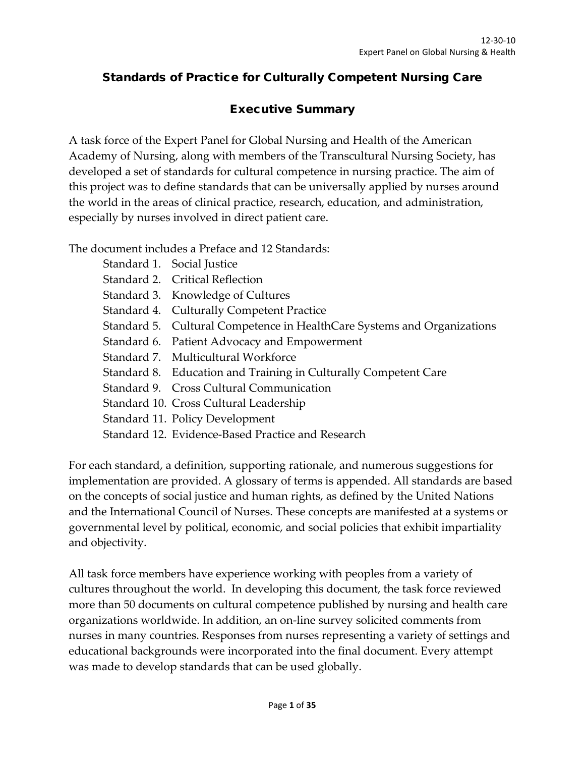## Standards of Practice for Culturally Competent Nursing Care

## Executive Summary

A task force of the Expert Panel for Global Nursing and Health of the American Academy of Nursing, along with members of the Transcultural Nursing Society, has developed a set of standards for cultural competence in nursing practice. The aim of this project was to define standards that can be universally applied by nurses around the world in the areas of clinical practice, research, education, and administration, especially by nurses involved in direct patient care.

The document includes a Preface and 12 Standards:

| Standard 1. Social Justice                                              |
|-------------------------------------------------------------------------|
| Standard 2. Critical Reflection                                         |
| Standard 3. Knowledge of Cultures                                       |
| Standard 4. Culturally Competent Practice                               |
| Standard 5. Cultural Competence in HealthCare Systems and Organizations |
| Standard 6. Patient Advocacy and Empowerment                            |
| Standard 7. Multicultural Workforce                                     |
| Standard 8. Education and Training in Culturally Competent Care         |
| Standard 9. Cross Cultural Communication                                |
| Standard 10. Cross Cultural Leadership                                  |
| Standard 11. Policy Development                                         |
| Standard 12. Evidence-Based Practice and Research                       |
|                                                                         |

For each standard, a definition, supporting rationale, and numerous suggestions for implementation are provided. A glossary of terms is appended. All standards are based on the concepts of social justice and human rights, as defined by the United Nations and the International Council of Nurses. These concepts are manifested at a systems or governmental level by political, economic, and social policies that exhibit impartiality and objectivity.

All task force members have experience working with peoples from a variety of cultures throughout the world. In developing this document, the task force reviewed more than 50 documents on cultural competence published by nursing and health care organizations worldwide. In addition, an on-line survey solicited comments from nurses in many countries. Responses from nurses representing a variety of settings and educational backgrounds were incorporated into the final document. Every attempt was made to develop standards that can be used globally.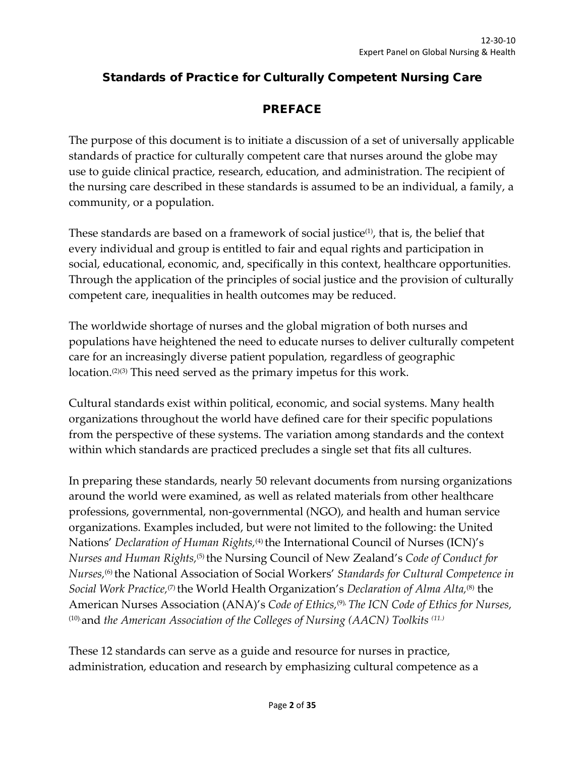## Standards of Practice for Culturally Competent Nursing Care

### PREFACE

The purpose of this document is to initiate a discussion of a set of universally applicable standards of practice for culturally competent care that nurses around the globe may use to guide clinical practice, research, education, and administration. The recipient of the nursing care described in these standards is assumed to be an individual, a family, a community, or a population.

These standards are based on a framework of social justice $(1)$ , that is, the belief that every individual and group is entitled to fair and equal rights and participation in social, educational, economic, and, specifically in this context, healthcare opportunities. Through the application of the principles of social justice and the provision of culturally competent care, inequalities in health outcomes may be reduced.

The worldwide shortage of nurses and the global migration of both nurses and populations have heightened the need to educate nurses to deliver culturally competent care for an increasingly diverse patient population, regardless of geographic location.<sup>(2)(3)</sup> This need served as the primary impetus for this work.

Cultural standards exist within political, economic, and social systems. Many health organizations throughout the world have defined care for their specific populations from the perspective of these systems. The variation among standards and the context within which standards are practiced precludes a single set that fits all cultures.

In preparing these standards, nearly 50 relevant documents from nursing organizations around the world were examined, as well as related materials from other healthcare professions, governmental, non-governmental (NGO), and health and human service organizations. Examples included, but were not limited to the following: the United Nations' *Declaration of Human Rights,*(4) the International Council of Nurses (ICN)'s *Nurses and Human Rights*,<sup>(5)</sup> the Nursing Council of New Zealand's *Code of Conduct for Nurses,*(6) the National Association of Social Workers' *Standards for Cultural Competence in Social Work Practice,*(7) the World Health Organization's *Declaration of Alma Alta,*(8) the American Nurses Association (ANA)'s *Code of Ethics,*(9), *The ICN Code of Ethics for Nurses,* (10).and *the American Association of the Colleges of Nursing (AACN) Toolkits (11.)*

These 12 standards can serve as a guide and resource for nurses in practice, administration, education and research by emphasizing cultural competence as a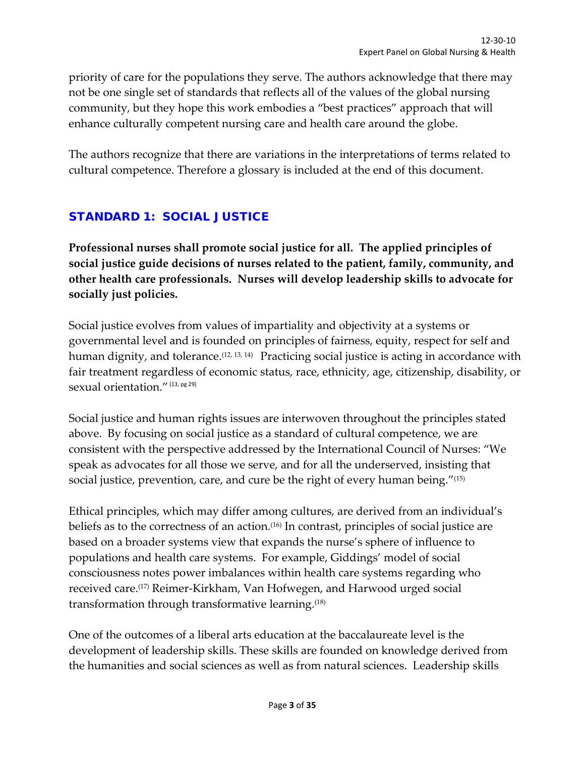priority of care for the populations they serve. The authors acknowledge that there may not be one single set of standards that reflects all of the values of the global nursing community, but they hope this work embodies a "best practices" approach that will enhance culturally competent nursing care and health care around the globe.

The authors recognize that there are variations in the interpretations of terms related to cultural competence. Therefore a glossary is included at the end of this document.

## STANDARD 1: SOCIAL JUSTICE

**Professional nurses shall promote social justice for all. The applied principles of social justice guide decisions of nurses related to the patient, family, community, and other health care professionals. Nurses will develop leadership skills to advocate for socially just policies.**

Social justice evolves from values of impartiality and objectivity at a systems or governmental level and is founded on principles of fairness, equity, respect for self and human dignity, and tolerance.<sup>(12, 13, 14)</sup> Practicing social justice is acting in accordance with fair treatment regardless of economic status, race, ethnicity, age, citizenship, disability, or sexual orientation." $(13, pg 29)$ 

Social justice and human rights issues are interwoven throughout the principles stated above. By focusing on social justice as a standard of cultural competence, we are consistent with the perspective addressed by the International Council of Nurses: "We speak as advocates for all those we serve, and for all the underserved, insisting that social justice, prevention, care, and cure be the right of every human being."(15)

Ethical principles, which may differ among cultures, are derived from an individual's beliefs as to the correctness of an action.<sup>(16)</sup> In contrast, principles of social justice are based on a broader systems view that expands the nurse's sphere of influence to populations and health care systems. For example, Giddings' model of social consciousness notes power imbalances within health care systems regarding who received care.(17) Reimer-Kirkham, Van Hofwegen, and Harwood urged social transformation through transformative learning.(18)

One of the outcomes of a liberal arts education at the baccalaureate level is the development of leadership skills. These skills are founded on knowledge derived from the humanities and social sciences as well as from natural sciences. Leadership skills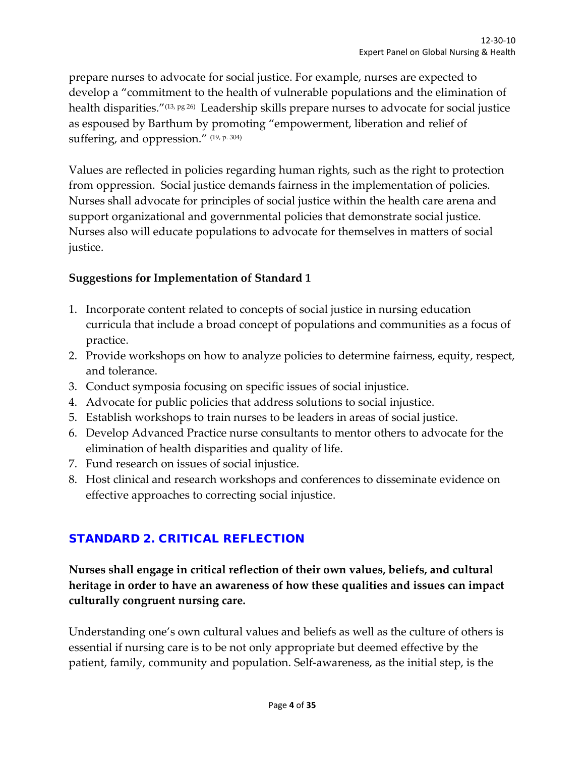prepare nurses to advocate for social justice. For example, nurses are expected to develop a "commitment to the health of vulnerable populations and the elimination of health disparities."(13, pg 26) Leadership skills prepare nurses to advocate for social justice as espoused by Barthum by promoting "empowerment, liberation and relief of suffering, and oppression." (19, p. 304)

Values are reflected in policies regarding human rights, such as the right to protection from oppression. Social justice demands fairness in the implementation of policies. Nurses shall advocate for principles of social justice within the health care arena and support organizational and governmental policies that demonstrate social justice. Nurses also will educate populations to advocate for themselves in matters of social justice.

## **Suggestions for Implementation of Standard 1**

- 1. Incorporate content related to concepts of social justice in nursing education curricula that include a broad concept of populations and communities as a focus of practice.
- 2. Provide workshops on how to analyze policies to determine fairness, equity, respect, and tolerance.
- 3. Conduct symposia focusing on specific issues of social injustice.
- 4. Advocate for public policies that address solutions to social injustice.
- 5. Establish workshops to train nurses to be leaders in areas of social justice.
- 6. Develop Advanced Practice nurse consultants to mentor others to advocate for the elimination of health disparities and quality of life.
- 7. Fund research on issues of social injustice.
- 8. Host clinical and research workshops and conferences to disseminate evidence on effective approaches to correcting social injustice.

# STANDARD 2. CRITICAL REFLECTION

**Nurses shall engage in critical reflection of their own values, beliefs, and cultural heritage in order to have an awareness of how these qualities and issues can impact culturally congruent nursing care.**

Understanding one's own cultural values and beliefs as well as the culture of others is essential if nursing care is to be not only appropriate but deemed effective by the patient, family, community and population. Self-awareness, as the initial step, is the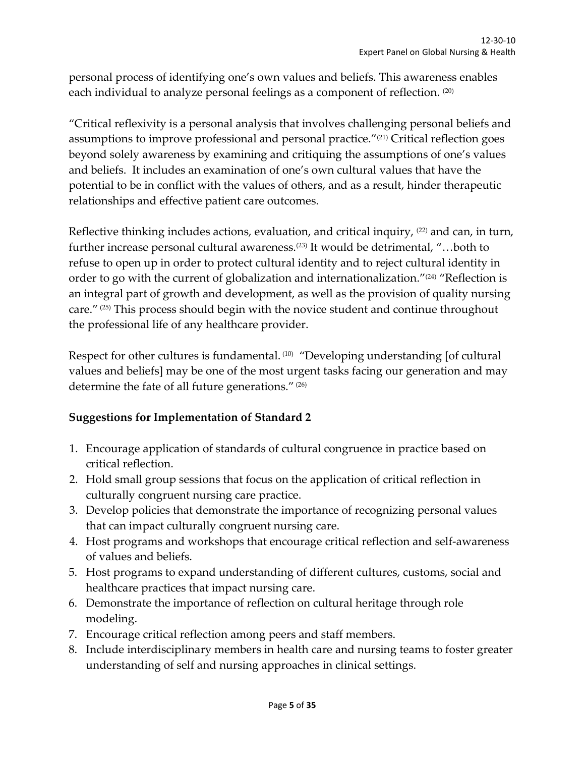personal process of identifying one's own values and beliefs. This awareness enables each individual to analyze personal feelings as a component of reflection. <sup>(20)</sup>

"Critical reflexivity is a personal analysis that involves challenging personal beliefs and assumptions to improve professional and personal practice."(21) Critical reflection goes beyond solely awareness by examining and critiquing the assumptions of one's values and beliefs. It includes an examination of one's own cultural values that have the potential to be in conflict with the values of others, and as a result, hinder therapeutic relationships and effective patient care outcomes.

Reflective thinking includes actions, evaluation, and critical inquiry,  $(22)$  and can, in turn, further increase personal cultural awareness.<sup>(23)</sup> It would be detrimental, "...both to refuse to open up in order to protect cultural identity and to reject cultural identity in order to go with the current of globalization and internationalization."<sup>(24)</sup> "Reflection is an integral part of growth and development, as well as the provision of quality nursing care." (25) This process should begin with the novice student and continue throughout the professional life of any healthcare provider.

Respect for other cultures is fundamental.<sup>(10)</sup> "Developing understanding [of cultural values and beliefs] may be one of the most urgent tasks facing our generation and may determine the fate of all future generations." (26)

#### **Suggestions for Implementation of Standard 2**

- 1. Encourage application of standards of cultural congruence in practice based on critical reflection.
- 2. Hold small group sessions that focus on the application of critical reflection in culturally congruent nursing care practice.
- 3. Develop policies that demonstrate the importance of recognizing personal values that can impact culturally congruent nursing care.
- 4. Host programs and workshops that encourage critical reflection and self-awareness of values and beliefs.
- 5. Host programs to expand understanding of different cultures, customs, social and healthcare practices that impact nursing care.
- 6. Demonstrate the importance of reflection on cultural heritage through role modeling.
- 7. Encourage critical reflection among peers and staff members.
- 8. Include interdisciplinary members in health care and nursing teams to foster greater understanding of self and nursing approaches in clinical settings.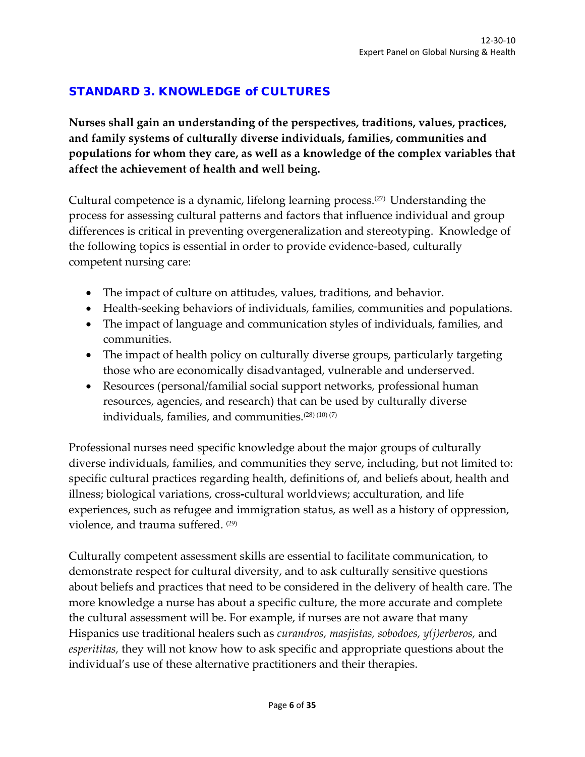## STANDARD 3. KNOWLEDGE of CULTURES

**Nurses shall gain an understanding of the perspectives, traditions, values, practices, and family systems of culturally diverse individuals, families, communities and populations for whom they care, as well as a knowledge of the complex variables that affect the achievement of health and well being.** 

Cultural competence is a dynamic, lifelong learning process.<sup>(27)</sup> Understanding the process for assessing cultural patterns and factors that influence individual and group differences is critical in preventing overgeneralization and stereotyping. Knowledge of the following topics is essential in order to provide evidence-based, culturally competent nursing care:

- The impact of culture on attitudes, values, traditions, and behavior.
- Health-seeking behaviors of individuals, families, communities and populations.
- The impact of language and communication styles of individuals, families, and communities.
- The impact of health policy on culturally diverse groups, particularly targeting those who are economically disadvantaged, vulnerable and underserved.
- Resources (personal/familial social support networks, professional human resources, agencies, and research) that can be used by culturally diverse individuals, families, and communities.<sup>(28) (10)</sup> (7)

Professional nurses need specific knowledge about the major groups of culturally diverse individuals, families, and communities they serve, including, but not limited to: specific cultural practices regarding health, definitions of, and beliefs about, health and illness; biological variations, cross**-**cultural worldviews; acculturation, and life experiences, such as refugee and immigration status, as well as a history of oppression, violence, and trauma suffered. (29)

Culturally competent assessment skills are essential to facilitate communication, to demonstrate respect for cultural diversity, and to ask culturally sensitive questions about beliefs and practices that need to be considered in the delivery of health care. The more knowledge a nurse has about a specific culture, the more accurate and complete the cultural assessment will be. For example, if nurses are not aware that many Hispanics use traditional healers such as *curandros, masjistas, sobodoes, y(j)erberos,* and *esperititas,* they will not know how to ask specific and appropriate questions about the individual's use of these alternative practitioners and their therapies.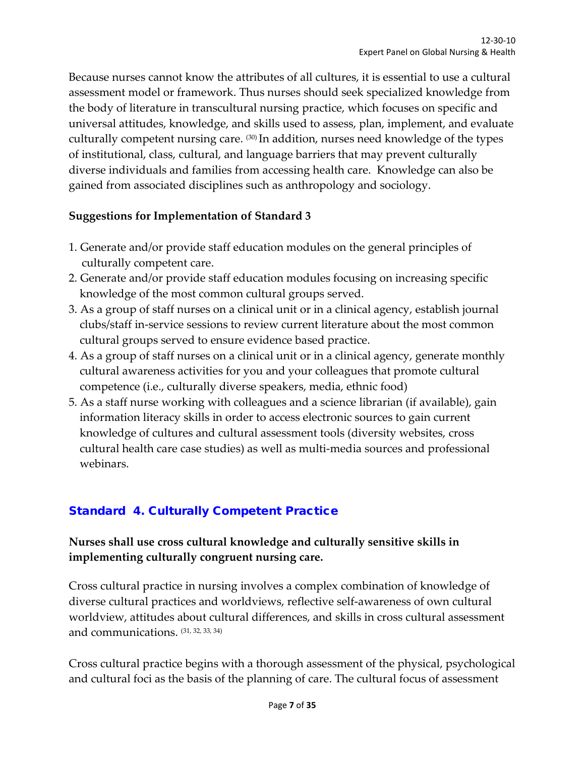Because nurses cannot know the attributes of all cultures, it is essential to use a cultural assessment model or framework. Thus nurses should seek specialized knowledge from the body of literature in transcultural nursing practice, which focuses on specific and universal attitudes, knowledge, and skills used to assess, plan, implement, and evaluate culturally competent nursing care. (30) In addition, nurses need knowledge of the types of institutional, class, cultural, and language barriers that may prevent culturally diverse individuals and families from accessing health care. Knowledge can also be gained from associated disciplines such as anthropology and sociology.

### **Suggestions for Implementation of Standard 3**

- 1. Generate and/or provide staff education modules on the general principles of culturally competent care.
- 2. Generate and/or provide staff education modules focusing on increasing specific knowledge of the most common cultural groups served.
- 3. As a group of staff nurses on a clinical unit or in a clinical agency, establish journal clubs/staff in-service sessions to review current literature about the most common cultural groups served to ensure evidence based practice.
- 4. As a group of staff nurses on a clinical unit or in a clinical agency, generate monthly cultural awareness activities for you and your colleagues that promote cultural competence (i.e., culturally diverse speakers, media, ethnic food)
- 5. As a staff nurse working with colleagues and a science librarian (if available), gain information literacy skills in order to access electronic sources to gain current knowledge of cultures and cultural assessment tools (diversity websites, cross cultural health care case studies) as well as multi-media sources and professional webinars.

# Standard 4. Culturally Competent Practice

## **Nurses shall use cross cultural knowledge and culturally sensitive skills in implementing culturally congruent nursing care.**

Cross cultural practice in nursing involves a complex combination of knowledge of diverse cultural practices and worldviews, reflective self-awareness of own cultural worldview, attitudes about cultural differences, and skills in cross cultural assessment and communications. (31, 32, 33, 34)

Cross cultural practice begins with a thorough assessment of the physical, psychological and cultural foci as the basis of the planning of care. The cultural focus of assessment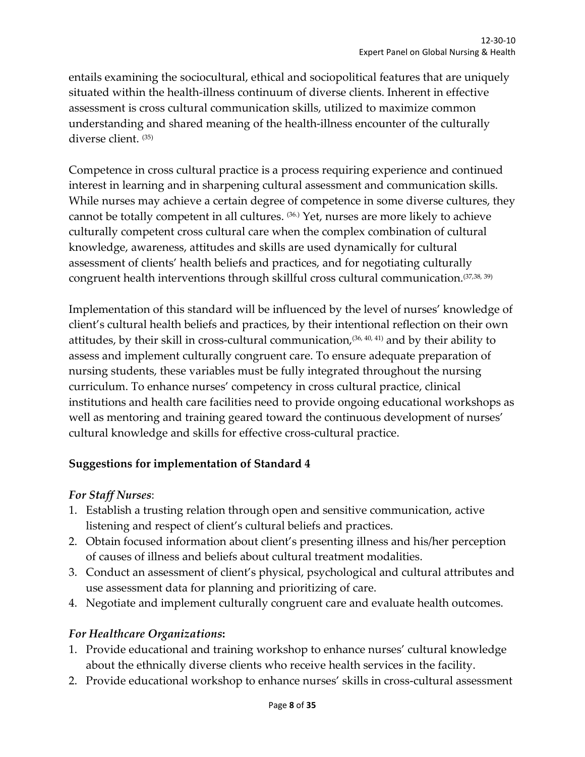entails examining the sociocultural, ethical and sociopolitical features that are uniquely situated within the health-illness continuum of diverse clients. Inherent in effective assessment is cross cultural communication skills, utilized to maximize common understanding and shared meaning of the health-illness encounter of the culturally diverse client. (35)

Competence in cross cultural practice is a process requiring experience and continued interest in learning and in sharpening cultural assessment and communication skills. While nurses may achieve a certain degree of competence in some diverse cultures, they cannot be totally competent in all cultures. (36.) Yet, nurses are more likely to achieve culturally competent cross cultural care when the complex combination of cultural knowledge, awareness, attitudes and skills are used dynamically for cultural assessment of clients' health beliefs and practices, and for negotiating culturally congruent health interventions through skillful cross cultural communication.(37,38, 39)

Implementation of this standard will be influenced by the level of nurses' knowledge of client's cultural health beliefs and practices, by their intentional reflection on their own attitudes, by their skill in cross-cultural communication,<sup>(36, 40, 41)</sup> and by their ability to assess and implement culturally congruent care. To ensure adequate preparation of nursing students, these variables must be fully integrated throughout the nursing curriculum. To enhance nurses' competency in cross cultural practice, clinical institutions and health care facilities need to provide ongoing educational workshops as well as mentoring and training geared toward the continuous development of nurses' cultural knowledge and skills for effective cross-cultural practice.

#### **Suggestions for implementation of Standard 4**

#### *For Staff Nurses*:

- 1. Establish a trusting relation through open and sensitive communication, active listening and respect of client's cultural beliefs and practices.
- 2. Obtain focused information about client's presenting illness and his/her perception of causes of illness and beliefs about cultural treatment modalities.
- 3. Conduct an assessment of client's physical, psychological and cultural attributes and use assessment data for planning and prioritizing of care.
- 4. Negotiate and implement culturally congruent care and evaluate health outcomes.

## *For Healthcare Organizations***:**

- 1. Provide educational and training workshop to enhance nurses' cultural knowledge about the ethnically diverse clients who receive health services in the facility.
- 2. Provide educational workshop to enhance nurses' skills in cross-cultural assessment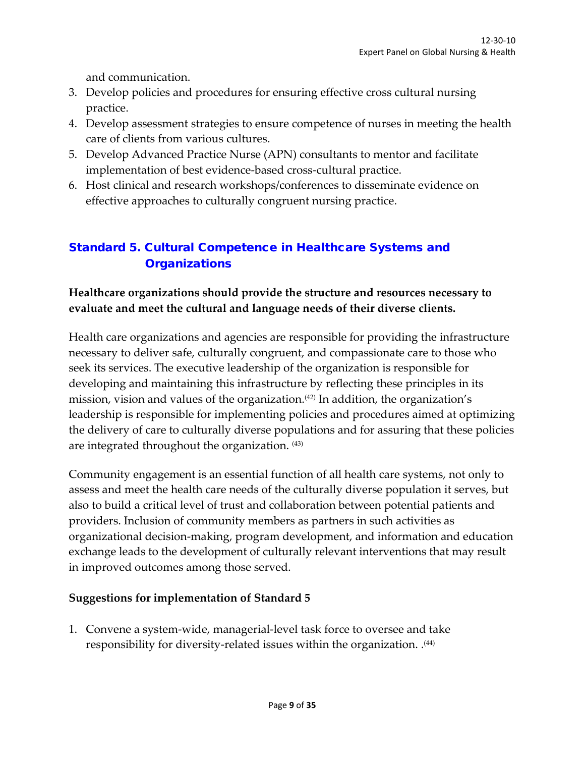and communication.

- 3. Develop policies and procedures for ensuring effective cross cultural nursing practice.
- 4. Develop assessment strategies to ensure competence of nurses in meeting the health care of clients from various cultures.
- 5. Develop Advanced Practice Nurse (APN) consultants to mentor and facilitate implementation of best evidence-based cross-cultural practice.
- 6. Host clinical and research workshops/conferences to disseminate evidence on effective approaches to culturally congruent nursing practice.

# Standard 5. Cultural Competence in Healthcare Systems and **Organizations**

## **Healthcare organizations should provide the structure and resources necessary to evaluate and meet the cultural and language needs of their diverse clients.**

Health care organizations and agencies are responsible for providing the infrastructure necessary to deliver safe, culturally congruent, and compassionate care to those who seek its services. The executive leadership of the organization is responsible for developing and maintaining this infrastructure by reflecting these principles in its mission, vision and values of the organization. (42) In addition, the organization's leadership is responsible for implementing policies and procedures aimed at optimizing the delivery of care to culturally diverse populations and for assuring that these policies are integrated throughout the organization. (43)

Community engagement is an essential function of all health care systems, not only to assess and meet the health care needs of the culturally diverse population it serves, but also to build a critical level of trust and collaboration between potential patients and providers. Inclusion of community members as partners in such activities as organizational decision-making, program development, and information and education exchange leads to the development of culturally relevant interventions that may result in improved outcomes among those served.

## **Suggestions for implementation of Standard 5**

1. Convene a system-wide, managerial-level task force to oversee and take responsibility for diversity-related issues within the organization. . (44)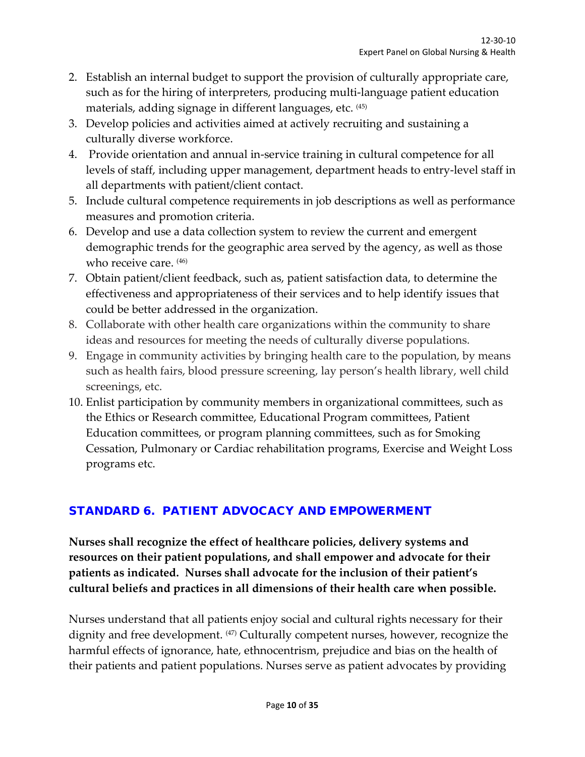- 2. Establish an internal budget to support the provision of culturally appropriate care, such as for the hiring of interpreters, producing multi-language patient education materials, adding signage in different languages, etc. (45)
- 3. Develop policies and activities aimed at actively recruiting and sustaining a culturally diverse workforce.
- 4. Provide orientation and annual in-service training in cultural competence for all levels of staff, including upper management, department heads to entry-level staff in all departments with patient/client contact.
- 5. Include cultural competence requirements in job descriptions as well as performance measures and promotion criteria.
- 6. Develop and use a data collection system to review the current and emergent demographic trends for the geographic area served by the agency, as well as those who receive care.  $(46)$
- 7. Obtain patient/client feedback, such as, patient satisfaction data, to determine the effectiveness and appropriateness of their services and to help identify issues that could be better addressed in the organization.
- 8. Collaborate with other health care organizations within the community to share ideas and resources for meeting the needs of culturally diverse populations.
- 9. Engage in community activities by bringing health care to the population, by means such as health fairs, blood pressure screening, lay person's health library, well child screenings, etc.
- 10. Enlist participation by community members in organizational committees, such as the Ethics or Research committee, Educational Program committees, Patient Education committees, or program planning committees, such as for Smoking Cessation, Pulmonary or Cardiac rehabilitation programs, Exercise and Weight Loss programs etc.

# STANDARD 6. PATIENT ADVOCACY AND EMPOWERMENT

**Nurses shall recognize the effect of healthcare policies, delivery systems and resources on their patient populations, and shall empower and advocate for their patients as indicated. Nurses shall advocate for the inclusion of their patient's cultural beliefs and practices in all dimensions of their health care when possible.**

Nurses understand that all patients enjoy social and cultural rights necessary for their dignity and free development. (47) Culturally competent nurses, however, recognize the harmful effects of ignorance, hate, ethnocentrism, prejudice and bias on the health of their patients and patient populations. Nurses serve as patient advocates by providing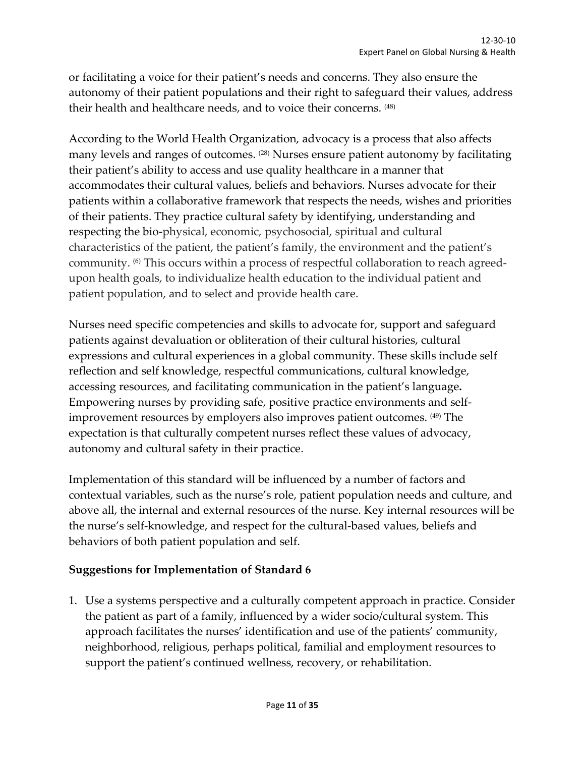or facilitating a voice for their patient's needs and concerns. They also ensure the autonomy of their patient populations and their right to safeguard their values, address their health and healthcare needs, and to voice their concerns. (48)

According to the World Health Organization, advocacy is a process that also affects many levels and ranges of outcomes. <sup>(28)</sup> Nurses ensure patient autonomy by facilitating their patient's ability to access and use quality healthcare in a manner that accommodates their cultural values, beliefs and behaviors. Nurses advocate for their patients within a collaborative framework that respects the needs, wishes and priorities of their patients. They practice cultural safety by identifying, understanding and respecting the bio-physical, economic, psychosocial, spiritual and cultural characteristics of the patient, the patient's family, the environment and the patient's community. (6) This occurs within a process of respectful collaboration to reach agreedupon health goals, to individualize health education to the individual patient and patient population, and to select and provide health care.

Nurses need specific competencies and skills to advocate for, support and safeguard patients against devaluation or obliteration of their cultural histories, cultural expressions and cultural experiences in a global community. These skills include self reflection and self knowledge, respectful communications, cultural knowledge, accessing resources, and facilitating communication in the patient's language**.** Empowering nurses by providing safe, positive practice environments and selfimprovement resources by employers also improves patient outcomes. (49) The expectation is that culturally competent nurses reflect these values of advocacy, autonomy and cultural safety in their practice.

Implementation of this standard will be influenced by a number of factors and contextual variables, such as the nurse's role, patient population needs and culture, and above all, the internal and external resources of the nurse. Key internal resources will be the nurse's self-knowledge, and respect for the cultural-based values, beliefs and behaviors of both patient population and self.

#### **Suggestions for Implementation of Standard 6**

1. Use a systems perspective and a culturally competent approach in practice. Consider the patient as part of a family, influenced by a wider socio/cultural system. This approach facilitates the nurses' identification and use of the patients' community, neighborhood, religious, perhaps political, familial and employment resources to support the patient's continued wellness, recovery, or rehabilitation.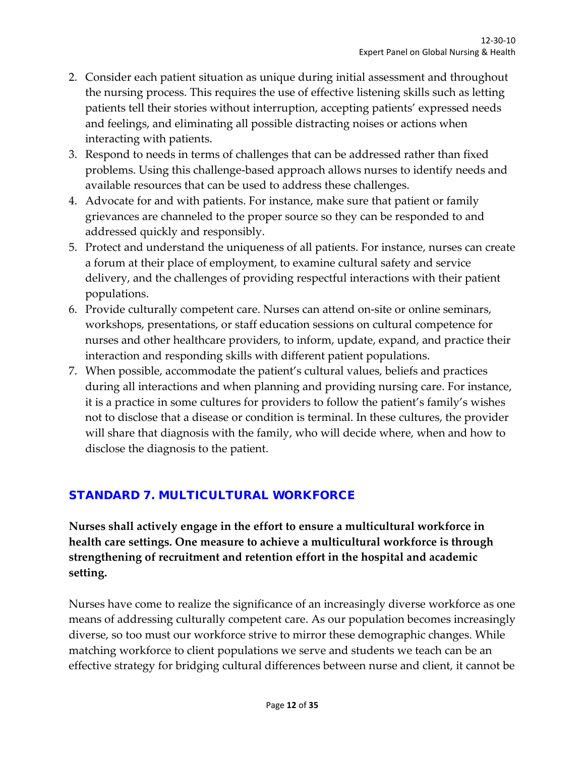- 2. Consider each patient situation as unique during initial assessment and throughout the nursing process. This requires the use of effective listening skills such as letting patients tell their stories without interruption, accepting patients' expressed needs and feelings, and eliminating all possible distracting noises or actions when interacting with patients.
- 3. Respond to needs in terms of challenges that can be addressed rather than fixed problems. Using this challenge-based approach allows nurses to identify needs and available resources that can be used to address these challenges.
- 4. Advocate for and with patients. For instance, make sure that patient or family grievances are channeled to the proper source so they can be responded to and addressed quickly and responsibly.
- 5. Protect and understand the uniqueness of all patients. For instance, nurses can create a forum at their place of employment, to examine cultural safety and service delivery, and the challenges of providing respectful interactions with their patient populations.
- 6. Provide culturally competent care. Nurses can attend on-site or online seminars, workshops, presentations, or staff education sessions on cultural competence for nurses and other healthcare providers, to inform, update, expand, and practice their interaction and responding skills with different patient populations.
- 7. When possible, accommodate the patient's cultural values, beliefs and practices during all interactions and when planning and providing nursing care. For instance, it is a practice in some cultures for providers to follow the patient's family's wishes not to disclose that a disease or condition is terminal. In these cultures, the provider will share that diagnosis with the family, who will decide where, when and how to disclose the diagnosis to the patient.

# STANDARD 7. MULTICULTURAL WORKFORCE

**Nurses shall actively engage in the effort to ensure a multicultural workforce in health care settings. One measure to achieve a multicultural workforce is through strengthening of recruitment and retention effort in the hospital and academic setting.**

Nurses have come to realize the significance of an increasingly diverse workforce as one means of addressing culturally competent care. As our population becomes increasingly diverse, so too must our workforce strive to mirror these demographic changes. While matching workforce to client populations we serve and students we teach can be an effective strategy for bridging cultural differences between nurse and client, it cannot be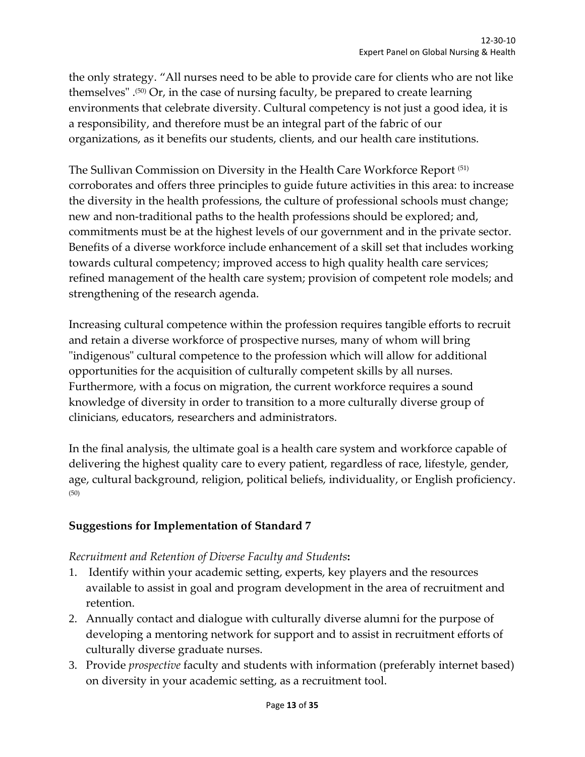the only strategy. "All nurses need to be able to provide care for clients who are not like themselves".<sup>(50)</sup> Or, in the case of nursing faculty, be prepared to create learning environments that celebrate diversity. Cultural competency is not just a good idea, it is a responsibility, and therefore must be an integral part of the fabric of our organizations, as it benefits our students, clients, and our health care institutions.

The Sullivan Commission on Diversity in the Health Care Workforce Report (51) corroborates and offers three principles to guide future activities in this area: to increase the diversity in the health professions, the culture of professional schools must change; new and non-traditional paths to the health professions should be explored; and, commitments must be at the highest levels of our government and in the private sector. Benefits of a diverse workforce include enhancement of a skill set that includes working towards cultural competency; improved access to high quality health care services; refined management of the health care system; provision of competent role models; and strengthening of the research agenda.

Increasing cultural competence within the profession requires tangible efforts to recruit and retain a diverse workforce of prospective nurses, many of whom will bring ʺindigenousʺ cultural competence to the profession which will allow for additional opportunities for the acquisition of culturally competent skills by all nurses. Furthermore, with a focus on migration, the current workforce requires a sound knowledge of diversity in order to transition to a more culturally diverse group of clinicians, educators, researchers and administrators.

In the final analysis, the ultimate goal is a health care system and workforce capable of delivering the highest quality care to every patient, regardless of race, lifestyle, gender, age, cultural background, religion, political beliefs, individuality, or English proficiency. (50)

#### **Suggestions for Implementation of Standard 7**

#### *Recruitment and Retention of Diverse Faculty and Students***:**

- 1. Identify within your academic setting, experts, key players and the resources available to assist in goal and program development in the area of recruitment and retention.
- 2. Annually contact and dialogue with culturally diverse alumni for the purpose of developing a mentoring network for support and to assist in recruitment efforts of culturally diverse graduate nurses.
- 3. Provide *prospective* faculty and students with information (preferably internet based) on diversity in your academic setting, as a recruitment tool.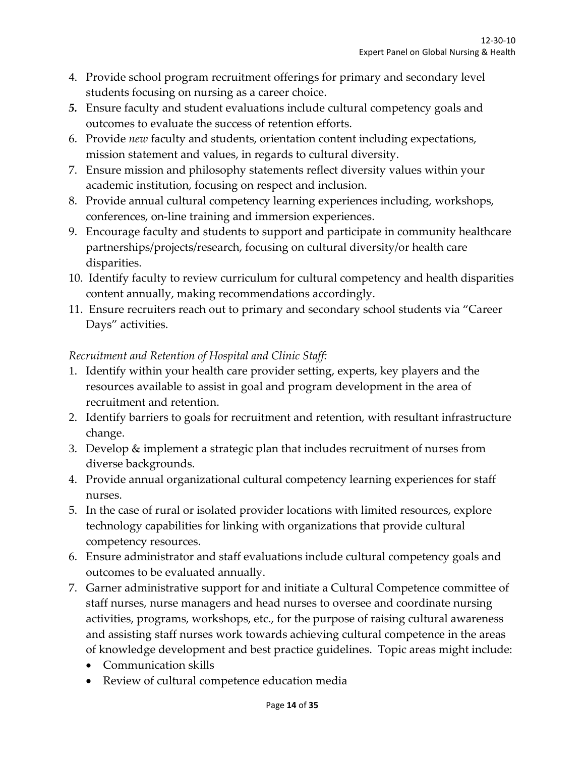- 4. Provide school program recruitment offerings for primary and secondary level students focusing on nursing as a career choice.
- *5.* Ensure faculty and student evaluations include cultural competency goals and outcomes to evaluate the success of retention efforts.
- 6. Provide *new* faculty and students, orientation content including expectations, mission statement and values, in regards to cultural diversity.
- 7. Ensure mission and philosophy statements reflect diversity values within your academic institution, focusing on respect and inclusion.
- 8. Provide annual cultural competency learning experiences including, workshops, conferences, on-line training and immersion experiences.
- 9. Encourage faculty and students to support and participate in community healthcare partnerships/projects/research, focusing on cultural diversity/or health care disparities.
- 10. Identify faculty to review curriculum for cultural competency and health disparities content annually, making recommendations accordingly.
- 11. Ensure recruiters reach out to primary and secondary school students via "Career Days" activities.

### *Recruitment and Retention of Hospital and Clinic Staff:*

- 1. Identify within your health care provider setting, experts, key players and the resources available to assist in goal and program development in the area of recruitment and retention.
- 2. Identify barriers to goals for recruitment and retention, with resultant infrastructure change.
- 3. Develop & implement a strategic plan that includes recruitment of nurses from diverse backgrounds.
- 4. Provide annual organizational cultural competency learning experiences for staff nurses.
- 5. In the case of rural or isolated provider locations with limited resources, explore technology capabilities for linking with organizations that provide cultural competency resources.
- 6. Ensure administrator and staff evaluations include cultural competency goals and outcomes to be evaluated annually.
- 7. Garner administrative support for and initiate a Cultural Competence committee of staff nurses, nurse managers and head nurses to oversee and coordinate nursing activities, programs, workshops, etc., for the purpose of raising cultural awareness and assisting staff nurses work towards achieving cultural competence in the areas of knowledge development and best practice guidelines. Topic areas might include:
	- Communication skills
	- Review of cultural competence education media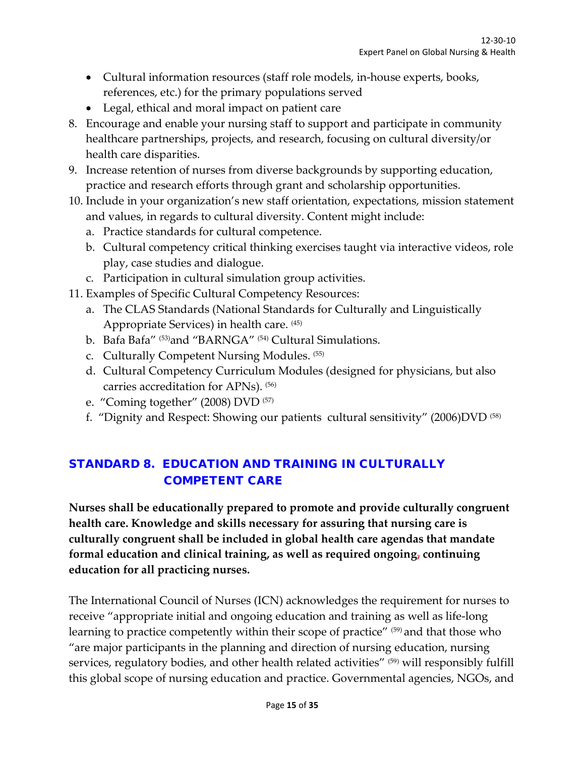- Cultural information resources (staff role models, in-house experts, books, references, etc.) for the primary populations served
- Legal, ethical and moral impact on patient care
- 8. Encourage and enable your nursing staff to support and participate in community healthcare partnerships, projects, and research, focusing on cultural diversity/or health care disparities.
- 9. Increase retention of nurses from diverse backgrounds by supporting education, practice and research efforts through grant and scholarship opportunities.
- 10. Include in your organization's new staff orientation, expectations, mission statement and values, in regards to cultural diversity. Content might include:
	- a. Practice standards for cultural competence.
	- b. Cultural competency critical thinking exercises taught via interactive videos, role play, case studies and dialogue.
	- c. Participation in cultural simulation group activities.
- 11. Examples of Specific Cultural Competency Resources:
	- a. The CLAS Standards (National Standards for Culturally and Linguistically Appropriate Services) in health care. (45)
	- b. Bafa Bafa" (53) and "BARNGA" (54) Cultural Simulations.
	- c. Culturally Competent Nursing Modules. (55)
	- d. Cultural Competency Curriculum Modules (designed for physicians, but also carries accreditation for APNs). (56)
	- e. "Coming together" (2008) DVD (57)
	- f. "Dignity and Respect: Showing our patients cultural sensitivity" (2006)DVD (58)

# STANDARD 8. EDUCATION AND TRAINING IN CULTURALLY COMPETENT CARE

**Nurses shall be educationally prepared to promote and provide culturally congruent health care. Knowledge and skills necessary for assuring that nursing care is culturally congruent shall be included in global health care agendas that mandate formal education and clinical training, as well as required ongoing, continuing education for all practicing nurses.** 

The International Council of Nurses (ICN) acknowledges the requirement for nurses to receive "appropriate initial and ongoing education and training as well as life-long learning to practice competently within their scope of practice" (59) and that those who "are major participants in the planning and direction of nursing education, nursing services, regulatory bodies, and other health related activities" (59) will responsibly fulfill this global scope of nursing education and practice. Governmental agencies, NGOs, and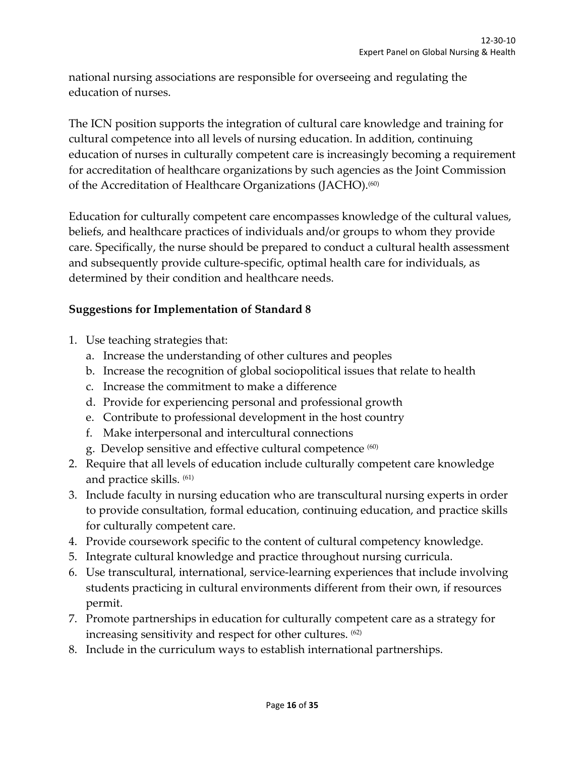national nursing associations are responsible for overseeing and regulating the education of nurses.

The ICN position supports the integration of cultural care knowledge and training for cultural competence into all levels of nursing education. In addition, continuing education of nurses in culturally competent care is increasingly becoming a requirement for accreditation of healthcare organizations by such agencies as the Joint Commission of the Accreditation of Healthcare Organizations (JACHO).<sup>(60)</sup>

Education for culturally competent care encompasses knowledge of the cultural values, beliefs, and healthcare practices of individuals and/or groups to whom they provide care. Specifically, the nurse should be prepared to conduct a cultural health assessment and subsequently provide culture-specific, optimal health care for individuals, as determined by their condition and healthcare needs.

#### **Suggestions for Implementation of Standard 8**

- 1. Use teaching strategies that:
	- a. Increase the understanding of other cultures and peoples
	- b. Increase the recognition of global sociopolitical issues that relate to health
	- c. Increase the commitment to make a difference
	- d. Provide for experiencing personal and professional growth
	- e. Contribute to professional development in the host country
	- f. Make interpersonal and intercultural connections
	- g. Develop sensitive and effective cultural competence (60)
- 2. Require that all levels of education include culturally competent care knowledge and practice skills. (61)
- 3. Include faculty in nursing education who are transcultural nursing experts in order to provide consultation, formal education, continuing education, and practice skills for culturally competent care.
- 4. Provide coursework specific to the content of cultural competency knowledge.
- 5. Integrate cultural knowledge and practice throughout nursing curricula.
- 6. Use transcultural, international, service-learning experiences that include involving students practicing in cultural environments different from their own, if resources permit.
- 7. Promote partnerships in education for culturally competent care as a strategy for increasing sensitivity and respect for other cultures. (62)
- 8. Include in the curriculum ways to establish international partnerships.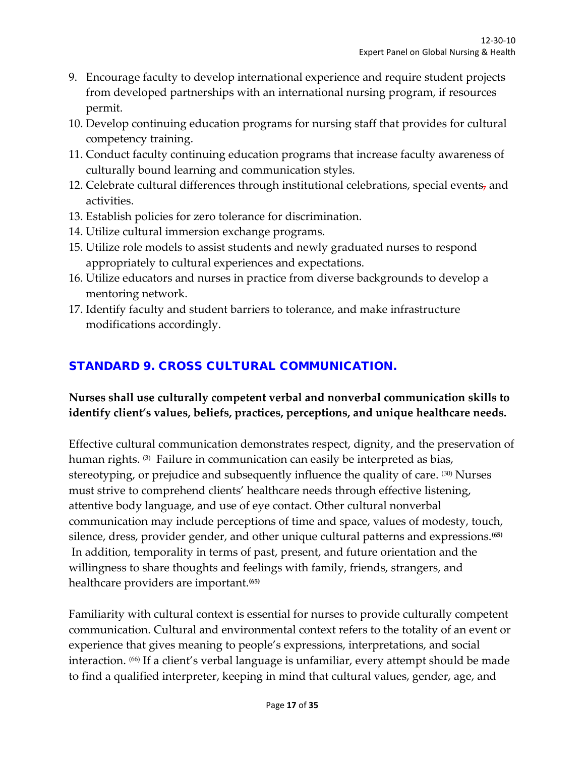- 9. Encourage faculty to develop international experience and require student projects from developed partnerships with an international nursing program, if resources permit.
- 10. Develop continuing education programs for nursing staff that provides for cultural competency training.
- 11. Conduct faculty continuing education programs that increase faculty awareness of culturally bound learning and communication styles.
- 12. Celebrate cultural differences through institutional celebrations, special events, and activities.
- 13. Establish policies for zero tolerance for discrimination.
- 14. Utilize cultural immersion exchange programs.
- 15. Utilize role models to assist students and newly graduated nurses to respond appropriately to cultural experiences and expectations.
- 16. Utilize educators and nurses in practice from diverse backgrounds to develop a mentoring network.
- 17. Identify faculty and student barriers to tolerance, and make infrastructure modifications accordingly.

## STANDARD 9. CROSS CULTURAL COMMUNICATION.

### **Nurses shall use culturally competent verbal and nonverbal communication skills to identify client's values, beliefs, practices, perceptions, and unique healthcare needs.**

Effective cultural communication demonstrates respect, dignity, and the preservation of human rights. (3) Failure in communication can easily be interpreted as bias, stereotyping, or prejudice and subsequently influence the quality of care. <sup>(30)</sup> Nurses must strive to comprehend clients' healthcare needs through effective listening, attentive body language, and use of eye contact. Other cultural nonverbal communication may include perceptions of time and space, values of modesty, touch, silence, dress, provider gender, and other unique cultural patterns and expressions.**(65)** In addition, temporality in terms of past, present, and future orientation and the willingness to share thoughts and feelings with family, friends, strangers, and healthcare providers are important.**(65)**

Familiarity with cultural context is essential for nurses to provide culturally competent communication. Cultural and environmental context refers to the totality of an event or experience that gives meaning to people's expressions, interpretations, and social interaction. (66) If a client's verbal language is unfamiliar, every attempt should be made to find a qualified interpreter, keeping in mind that cultural values, gender, age, and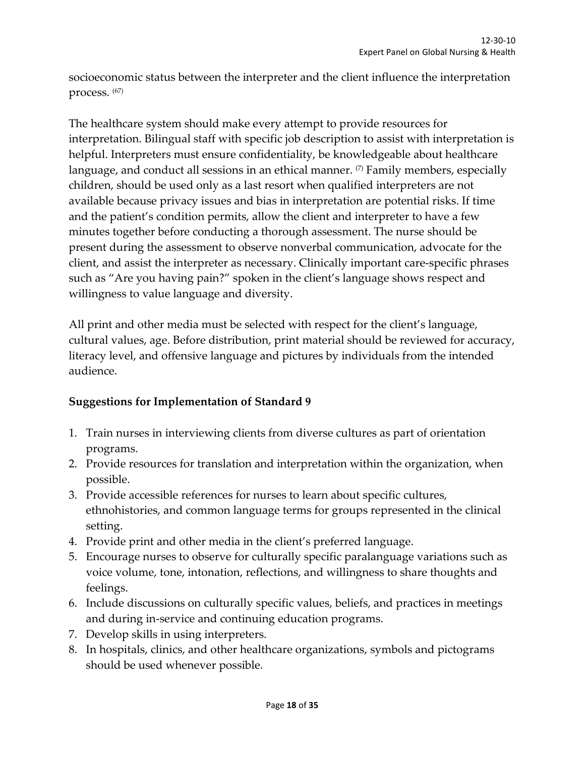socioeconomic status between the interpreter and the client influence the interpretation process. (67)

The healthcare system should make every attempt to provide resources for interpretation. Bilingual staff with specific job description to assist with interpretation is helpful. Interpreters must ensure confidentiality, be knowledgeable about healthcare language, and conduct all sessions in an ethical manner.  $\sigma$  Family members, especially children, should be used only as a last resort when qualified interpreters are not available because privacy issues and bias in interpretation are potential risks. If time and the patient's condition permits, allow the client and interpreter to have a few minutes together before conducting a thorough assessment. The nurse should be present during the assessment to observe nonverbal communication, advocate for the client, and assist the interpreter as necessary. Clinically important care-specific phrases such as "Are you having pain?" spoken in the client's language shows respect and willingness to value language and diversity.

All print and other media must be selected with respect for the client's language, cultural values, age. Before distribution, print material should be reviewed for accuracy, literacy level, and offensive language and pictures by individuals from the intended audience.

## **Suggestions for Implementation of Standard 9**

- 1. Train nurses in interviewing clients from diverse cultures as part of orientation programs.
- 2. Provide resources for translation and interpretation within the organization, when possible.
- 3. Provide accessible references for nurses to learn about specific cultures, ethnohistories, and common language terms for groups represented in the clinical setting.
- 4. Provide print and other media in the client's preferred language.
- 5. Encourage nurses to observe for culturally specific paralanguage variations such as voice volume, tone, intonation, reflections, and willingness to share thoughts and feelings.
- 6. Include discussions on culturally specific values, beliefs, and practices in meetings and during in-service and continuing education programs.
- 7. Develop skills in using interpreters.
- 8. In hospitals, clinics, and other healthcare organizations, symbols and pictograms should be used whenever possible.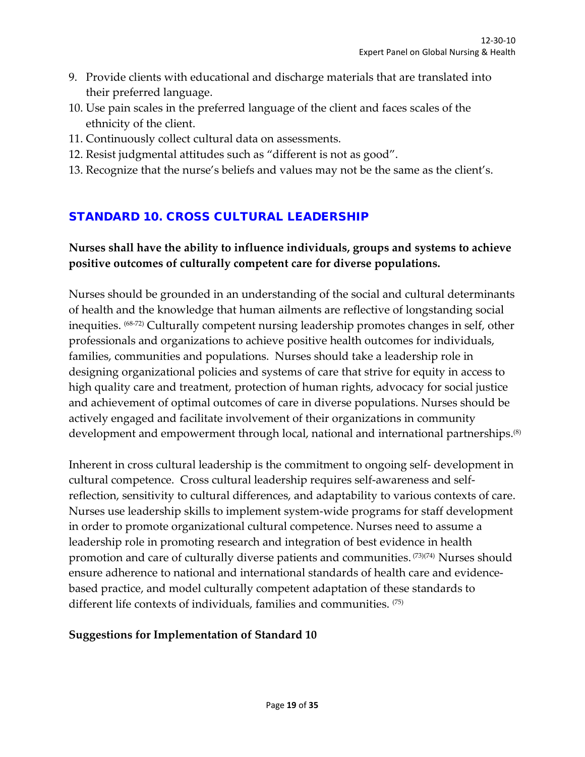- 9. Provide clients with educational and discharge materials that are translated into their preferred language.
- 10. Use pain scales in the preferred language of the client and faces scales of the ethnicity of the client.
- 11. Continuously collect cultural data on assessments.
- 12. Resist judgmental attitudes such as "different is not as good".
- 13. Recognize that the nurse's beliefs and values may not be the same as the client's.

## STANDARD 10. CROSS CULTURAL LEADERSHIP

## **Nurses shall have the ability to influence individuals, groups and systems to achieve positive outcomes of culturally competent care for diverse populations.**

Nurses should be grounded in an understanding of the social and cultural determinants of health and the knowledge that human ailments are reflective of longstanding social inequities. (68-72) Culturally competent nursing leadership promotes changes in self, other professionals and organizations to achieve positive health outcomes for individuals, families, communities and populations. Nurses should take a leadership role in designing organizational policies and systems of care that strive for equity in access to high quality care and treatment, protection of human rights, advocacy for social justice and achievement of optimal outcomes of care in diverse populations. Nurses should be actively engaged and facilitate involvement of their organizations in community development and empowerment through local, national and international partnerships.(8)

Inherent in cross cultural leadership is the commitment to ongoing self- development in cultural competence. Cross cultural leadership requires self-awareness and selfreflection, sensitivity to cultural differences, and adaptability to various contexts of care. Nurses use leadership skills to implement system-wide programs for staff development in order to promote organizational cultural competence. Nurses need to assume a leadership role in promoting research and integration of best evidence in health promotion and care of culturally diverse patients and communities. (73)(74) Nurses should ensure adherence to national and international standards of health care and evidencebased practice, and model culturally competent adaptation of these standards to different life contexts of individuals, families and communities. (75)

#### **Suggestions for Implementation of Standard 10**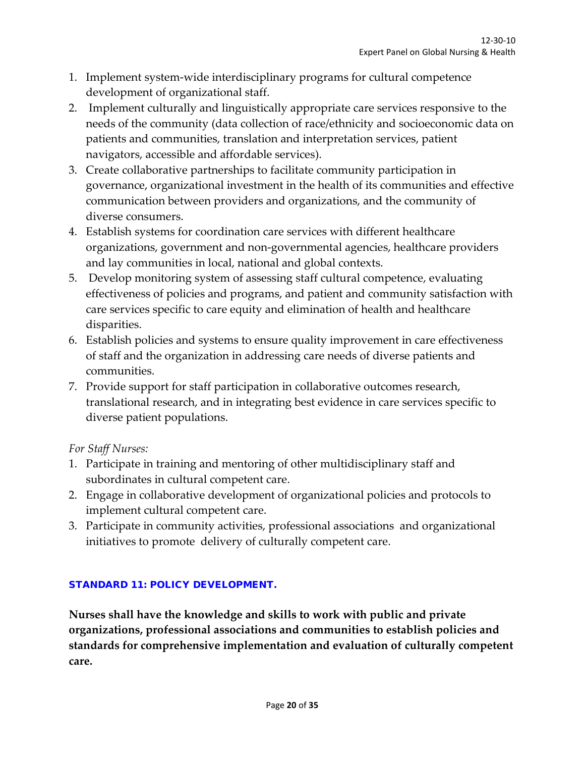- 1. Implement system-wide interdisciplinary programs for cultural competence development of organizational staff.
- 2. Implement culturally and linguistically appropriate care services responsive to the needs of the community (data collection of race/ethnicity and socioeconomic data on patients and communities, translation and interpretation services, patient navigators, accessible and affordable services).
- 3. Create collaborative partnerships to facilitate community participation in governance, organizational investment in the health of its communities and effective communication between providers and organizations, and the community of diverse consumers.
- 4. Establish systems for coordination care services with different healthcare organizations, government and non-governmental agencies, healthcare providers and lay communities in local, national and global contexts.
- 5. Develop monitoring system of assessing staff cultural competence, evaluating effectiveness of policies and programs, and patient and community satisfaction with care services specific to care equity and elimination of health and healthcare disparities.
- 6. Establish policies and systems to ensure quality improvement in care effectiveness of staff and the organization in addressing care needs of diverse patients and communities.
- 7. Provide support for staff participation in collaborative outcomes research, translational research, and in integrating best evidence in care services specific to diverse patient populations.

#### *For Staff Nurses:*

- 1. Participate in training and mentoring of other multidisciplinary staff and subordinates in cultural competent care.
- 2. Engage in collaborative development of organizational policies and protocols to implement cultural competent care.
- 3. Participate in community activities, professional associations and organizational initiatives to promote delivery of culturally competent care.

#### STANDARD 11: POLICY DEVELOPMENT.

**Nurses shall have the knowledge and skills to work with public and private organizations, professional associations and communities to establish policies and standards for comprehensive implementation and evaluation of culturally competent care.**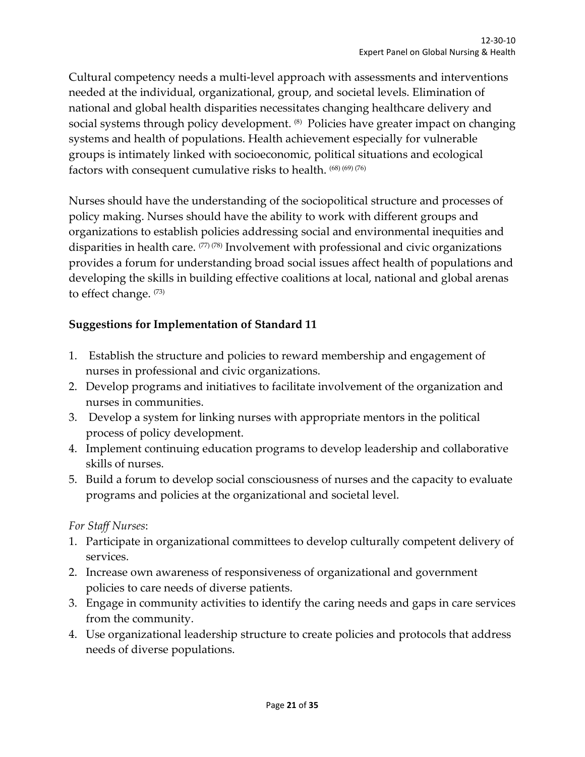Cultural competency needs a multi-level approach with assessments and interventions needed at the individual, organizational, group, and societal levels. Elimination of national and global health disparities necessitates changing healthcare delivery and social systems through policy development. <sup>(8)</sup> Policies have greater impact on changing systems and health of populations. Health achievement especially for vulnerable groups is intimately linked with socioeconomic, political situations and ecological factors with consequent cumulative risks to health. (68) (69) (76)

Nurses should have the understanding of the sociopolitical structure and processes of policy making. Nurses should have the ability to work with different groups and organizations to establish policies addressing social and environmental inequities and disparities in health care. (77) (78) Involvement with professional and civic organizations provides a forum for understanding broad social issues affect health of populations and developing the skills in building effective coalitions at local, national and global arenas to effect change. (73)

## **Suggestions for Implementation of Standard 11**

- 1. Establish the structure and policies to reward membership and engagement of nurses in professional and civic organizations.
- 2. Develop programs and initiatives to facilitate involvement of the organization and nurses in communities.
- 3. Develop a system for linking nurses with appropriate mentors in the political process of policy development.
- 4. Implement continuing education programs to develop leadership and collaborative skills of nurses.
- 5. Build a forum to develop social consciousness of nurses and the capacity to evaluate programs and policies at the organizational and societal level.

#### *For Staff Nurses*:

- 1. Participate in organizational committees to develop culturally competent delivery of services.
- 2. Increase own awareness of responsiveness of organizational and government policies to care needs of diverse patients.
- 3. Engage in community activities to identify the caring needs and gaps in care services from the community.
- 4. Use organizational leadership structure to create policies and protocols that address needs of diverse populations.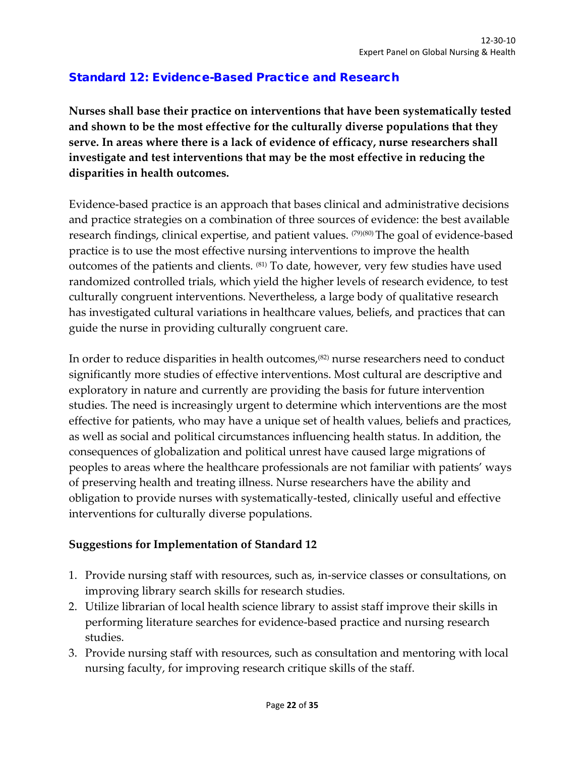## Standard 12: Evidence-Based Practice and Research

**Nurses shall base their practice on interventions that have been systematically tested and shown to be the most effective for the culturally diverse populations that they serve. In areas where there is a lack of evidence of efficacy, nurse researchers shall investigate and test interventions that may be the most effective in reducing the disparities in health outcomes.** 

Evidence-based practice is an approach that bases clinical and administrative decisions and practice strategies on a combination of three sources of evidence: the best available research findings, clinical expertise, and patient values. (79)(80) The goal of evidence-based practice is to use the most effective nursing interventions to improve the health outcomes of the patients and clients. (81) To date, however, very few studies have used randomized controlled trials, which yield the higher levels of research evidence, to test culturally congruent interventions. Nevertheless, a large body of qualitative research has investigated cultural variations in healthcare values, beliefs, and practices that can guide the nurse in providing culturally congruent care.

In order to reduce disparities in health outcomes,<sup>(82)</sup> nurse researchers need to conduct significantly more studies of effective interventions. Most cultural are descriptive and exploratory in nature and currently are providing the basis for future intervention studies. The need is increasingly urgent to determine which interventions are the most effective for patients, who may have a unique set of health values, beliefs and practices, as well as social and political circumstances influencing health status. In addition, the consequences of globalization and political unrest have caused large migrations of peoples to areas where the healthcare professionals are not familiar with patients' ways of preserving health and treating illness. Nurse researchers have the ability and obligation to provide nurses with systematically-tested, clinically useful and effective interventions for culturally diverse populations.

#### **Suggestions for Implementation of Standard 12**

- 1. Provide nursing staff with resources, such as, in-service classes or consultations, on improving library search skills for research studies.
- 2. Utilize librarian of local health science library to assist staff improve their skills in performing literature searches for evidence-based practice and nursing research studies.
- 3. Provide nursing staff with resources, such as consultation and mentoring with local nursing faculty, for improving research critique skills of the staff.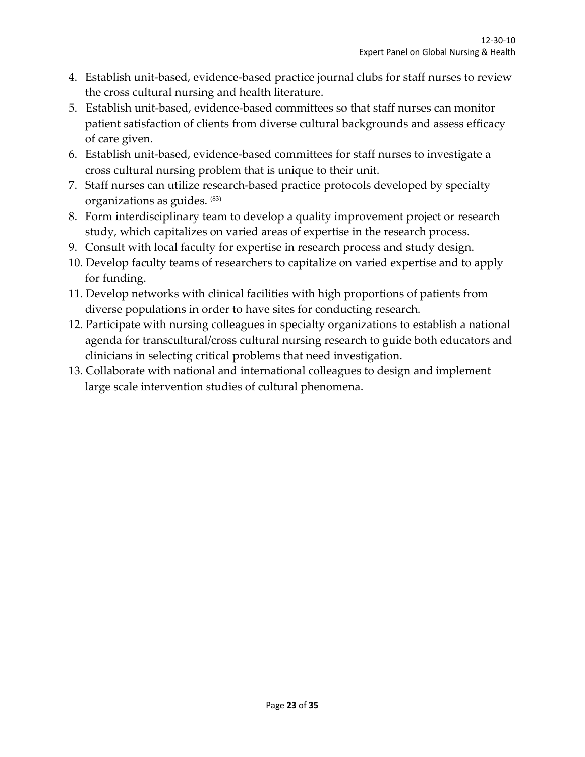- 4. Establish unit-based, evidence-based practice journal clubs for staff nurses to review the cross cultural nursing and health literature.
- 5. Establish unit-based, evidence-based committees so that staff nurses can monitor patient satisfaction of clients from diverse cultural backgrounds and assess efficacy of care given.
- 6. Establish unit-based, evidence-based committees for staff nurses to investigate a cross cultural nursing problem that is unique to their unit.
- 7. Staff nurses can utilize research-based practice protocols developed by specialty organizations as guides. (83)
- 8. Form interdisciplinary team to develop a quality improvement project or research study, which capitalizes on varied areas of expertise in the research process.
- 9. Consult with local faculty for expertise in research process and study design.
- 10. Develop faculty teams of researchers to capitalize on varied expertise and to apply for funding.
- 11. Develop networks with clinical facilities with high proportions of patients from diverse populations in order to have sites for conducting research.
- 12. Participate with nursing colleagues in specialty organizations to establish a national agenda for transcultural/cross cultural nursing research to guide both educators and clinicians in selecting critical problems that need investigation.
- 13. Collaborate with national and international colleagues to design and implement large scale intervention studies of cultural phenomena.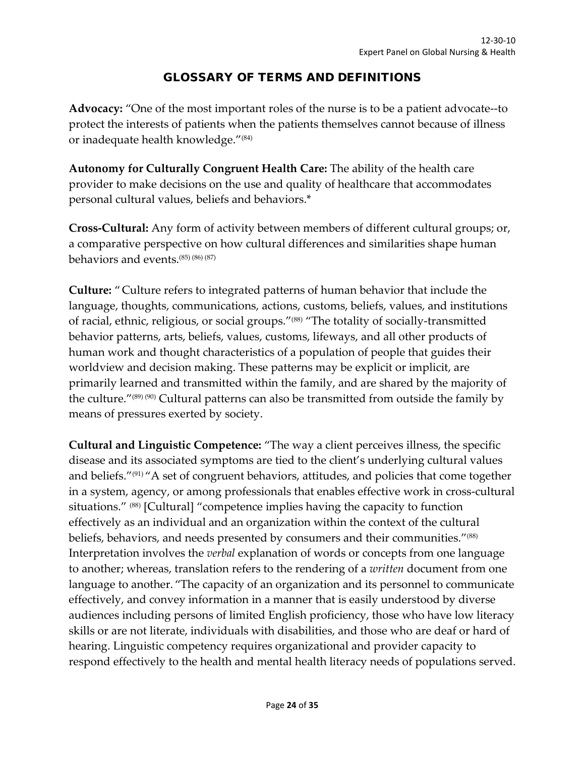### GLOSSARY OF TERMS AND DEFINITIONS

**Advocacy:** "One of the most important roles of the nurse is to be a patient advocate--to protect the interests of patients when the patients themselves cannot because of illness or inadequate health knowledge."(84)

**Autonomy for Culturally Congruent Health Care:** The ability of the health care provider to make decisions on the use and quality of healthcare that accommodates personal cultural values, beliefs and behaviors.\*

**Cross-Cultural:** Any form of activity between members of different cultural groups; or, a comparative perspective on how cultural differences and similarities shape human behaviors and events.(85) (86) (87)

**Culture:** " Culture refers to integrated patterns of human behavior that include the language, thoughts, communications, actions, customs, beliefs, values, and institutions of racial, ethnic, religious, or social groups."(88) "The totality of socially-transmitted behavior patterns, arts, beliefs, values, customs, lifeways, and all other products of human work and thought characteristics of a population of people that guides their worldview and decision making. These patterns may be explicit or implicit, are primarily learned and transmitted within the family, and are shared by the majority of the culture."(89) (90) Cultural patterns can also be transmitted from outside the family by means of pressures exerted by society.

**Cultural and Linguistic Competence:** "The way a client perceives illness, the specific disease and its associated symptoms are tied to the client's underlying cultural values and beliefs."<sup>(91)</sup> "A set of congruent behaviors, attitudes, and policies that come together in a system, agency, or among professionals that enables effective work in cross-cultural situations." (88) [Cultural] "competence implies having the capacity to function effectively as an individual and an organization within the context of the cultural beliefs, behaviors, and needs presented by consumers and their communities."<sup>(88)</sup> Interpretation involves the *verbal* explanation of words or concepts from one language to another; whereas, translation refers to the rendering of a *written* document from one language to another. "The capacity of an organization and its personnel to communicate effectively, and convey information in a manner that is easily understood by diverse audiences including persons of limited English proficiency, those who have low literacy skills or are not literate, individuals with disabilities, and those who are deaf or hard of hearing. Linguistic competency requires organizational and provider capacity to respond effectively to the health and mental health literacy needs of populations served.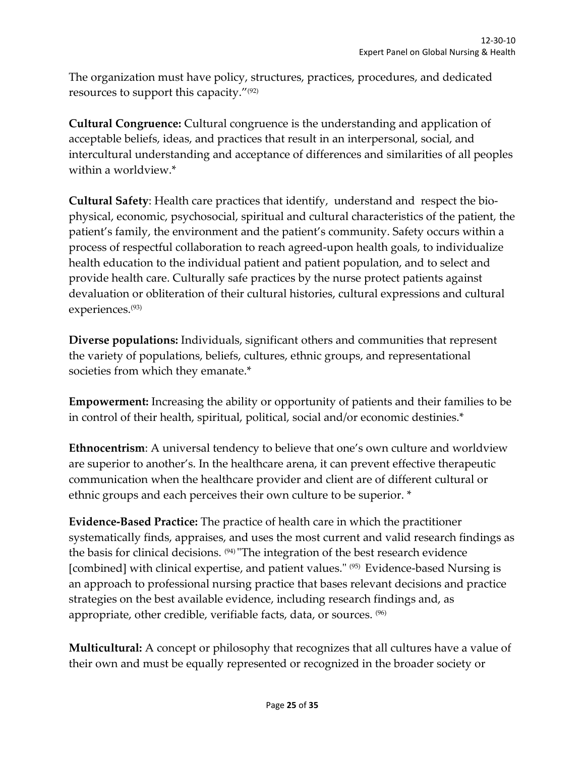The organization must have policy, structures, practices, procedures, and dedicated resources to support this capacity."(92)

**Cultural Congruence:** Cultural congruence is the understanding and application of acceptable beliefs, ideas, and practices that result in an interpersonal, social, and intercultural understanding and acceptance of differences and similarities of all peoples within a worldview.\*

**Cultural Safety**: Health care practices that identify, understand and respect the biophysical, economic, psychosocial, spiritual and cultural characteristics of the patient, the patient's family, the environment and the patient's community. Safety occurs within a process of respectful collaboration to reach agreed-upon health goals, to individualize health education to the individual patient and patient population, and to select and provide health care. Culturally safe practices by the nurse protect patients against devaluation or obliteration of their cultural histories, cultural expressions and cultural experiences.(93)

**Diverse populations:** Individuals, significant others and communities that represent the variety of populations, beliefs, cultures, ethnic groups, and representational societies from which they emanate.\*

**Empowerment:** Increasing the ability or opportunity of patients and their families to be in control of their health, spiritual, political, social and/or economic destinies.\*

**Ethnocentrism**: A universal tendency to believe that one's own culture and worldview are superior to another's. In the healthcare arena, it can prevent effective therapeutic communication when the healthcare provider and client are of different cultural or ethnic groups and each perceives their own culture to be superior. \*

**Evidence-Based Practice:** The practice of health care in which the practitioner systematically finds, appraises, and uses the most current and valid research findings as the basis for clinical decisions.  $(94)$  "The integration of the best research evidence [combined] with clinical expertise, and patient values." (95) Evidence-based Nursing is an approach to professional nursing practice that bases relevant decisions and practice strategies on the best available evidence, including research findings and, as appropriate, other credible, verifiable facts, data, or sources.  $(96)$ 

**Multicultural:** A concept or philosophy that recognizes that all cultures have a value of their own and must be equally represented or recognized in the broader society or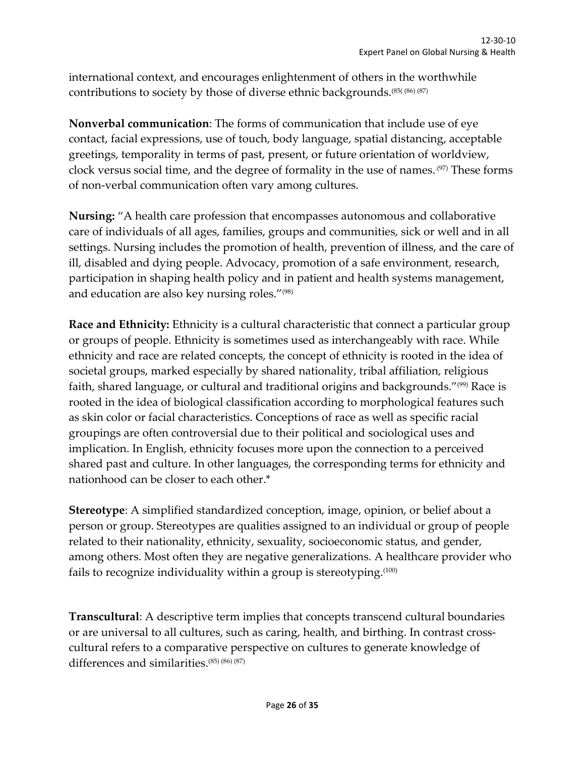international context, and encourages enlightenment of others in the worthwhile contributions to society by those of diverse ethnic backgrounds.(85( (86) (87)

**Nonverbal communication**: The forms of communication that include use of eye contact, facial expressions, use of touch, body language, spatial distancing, acceptable greetings, temporality in terms of past, present, or future orientation of worldview, clock versus social time, and the degree of formality in the use of names.<sup>(97)</sup> These forms of non-verbal communication often vary among cultures.

**Nursing:** "A health care profession that encompasses autonomous and collaborative care of individuals of all ages, families, groups and communities, sick or well and in all settings. Nursing includes the promotion of health, prevention of illness, and the care of ill, disabled and dying people. Advocacy, promotion of a safe environment, research, participation in shaping health policy and in patient and health systems management, and education are also key nursing roles."(98)

**Race and Ethnicity:** Ethnicity is a cultural characteristic that connect a particular group or groups of people. Ethnicity is sometimes used as interchangeably with race. While ethnicity and race are related concepts, the concept of ethnicity is rooted in the idea of societal groups, marked especially by shared nationality, tribal affiliation, religious faith, shared language, or cultural and traditional origins and backgrounds."<sup>(99)</sup> Race is rooted in the idea of biological classification according to morphological features such as skin color or facial characteristics. Conceptions of race as well as specific racial groupings are often controversial due to their political and sociological uses and implication. In English, ethnicity focuses more upon the connection to a perceived shared past and culture. In other languages, the corresponding terms for ethnicity and nationhood can be closer to each other.\*

**Stereotype**: A simplified standardized conception, image, opinion, or belief about a person or group. Stereotypes are qualities assigned to an individual or group of people related to their nationality, ethnicity, sexuality, socioeconomic status, and gender, among others. Most often they are negative generalizations. A healthcare provider who fails to recognize individuality within a group is stereotyping.(100)

**Transcultural**: A descriptive term implies that concepts transcend cultural boundaries or are universal to all cultures, such as caring, health, and birthing. In contrast crosscultural refers to a comparative perspective on cultures to generate knowledge of differences and similarities.(85) (86) (87)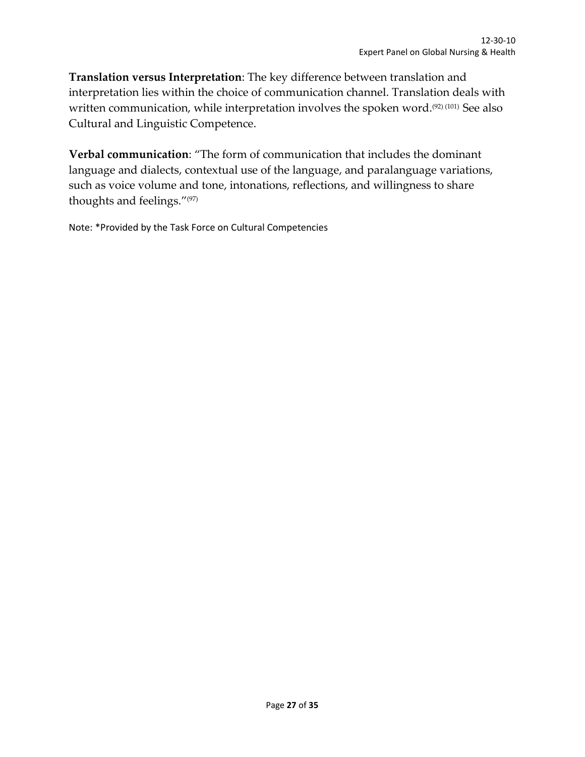**Translation versus Interpretation**: The key difference between translation and interpretation lies within the choice of communication channel. Translation deals with written communication, while interpretation involves the spoken word.<sup>(92) (101)</sup> See also Cultural and Linguistic Competence.

**Verbal communication**: "The form of communication that includes the dominant language and dialects, contextual use of the language, and paralanguage variations, such as voice volume and tone, intonations, reflections, and willingness to share thoughts and feelings."(97)

Note: \*Provided by the Task Force on Cultural Competencies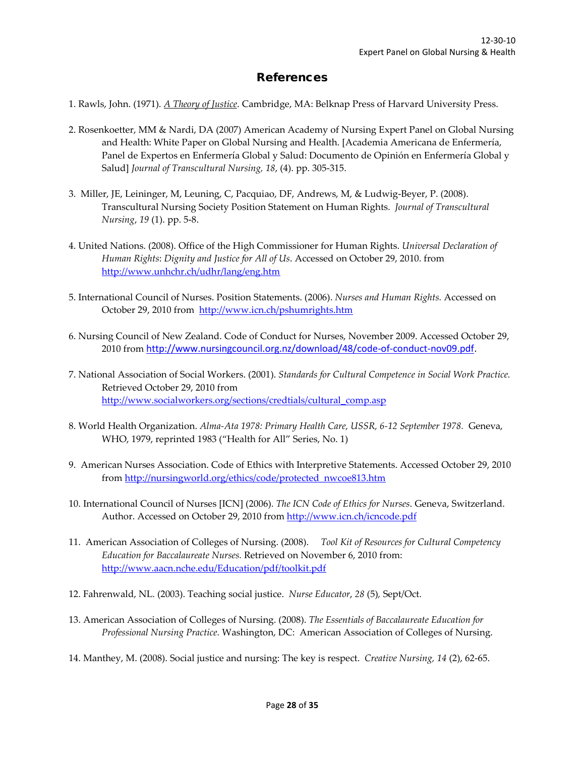#### References

- 1. Rawls, John. (1971). *[A Theory of Justice](http://en.wikipedia.org/wiki/A_Theory_of_Justice)*. Cambridge, MA: Belknap Press of Harvard University Press.
- 2. Rosenkoetter, MM & Nardi, DA (2007) American Academy of Nursing Expert Panel on Global Nursing and Health: White Paper on Global Nursing and Health. [Academia Americana de Enfermería, Panel de Expertos en Enfermería Global y Salud: Documento de Opinión en Enfermería Global y Salud] *Journal of Transcultural Nursing, 18*, (4). pp. 305-315.
- 3. Miller, JE, Leininger, M, Leuning, C, Pacquiao, DF, Andrews, M, & Ludwig-Beyer, P. (2008). Transcultural Nursing Society Position Statement on Human Rights. *Journal of Transcultural Nursing*, *19* (1). pp. 5-8.
- 4. United Nations. (2008). Office of the High Commissioner for Human Rights. *Universal Declaration of Human Rights*: *Dignity and Justice for All of Us*. Accessed on October 29, 2010. from <http://www.unhchr.ch/udhr/lang/eng.htm>
- 5. International Council of Nurses. Position Statements. (2006). *Nurses and Human Rights.* Accessed on October 29, 2010 from<http://www.icn.ch/pshumrights.htm>
- 6. Nursing Council of New Zealand. Code of Conduct for Nurses, November 2009. Accessed October 29, 2010 from <http://www.nursingcouncil.org.nz/download/48/code-of-conduct-nov09.pdf>.
- 7. National Association of Social Workers. (2001). *Standards for Cultural Competence in Social Work Practice.*  Retrieved October 29, 2010 from [http://www.socialworkers.org/sections/credtials/cultural\\_comp.asp](http://www.socialworkers.org/sections/credtials/cultural_comp.asp)
- 8. World Health Organization. *Alma-Ata 1978: Primary Health Care, USSR, 6-12 September 1978.* Geneva, WHO, 1979, reprinted 1983 ("Health for All" Series, No. 1)
- 9. American Nurses Association. Code of Ethics with Interpretive Statements. Accessed October 29, 2010 fro[m http://nursingworld.org/ethics/code/protected\\_nwcoe813.htm](http://nursingworld.org/ethics/code/protected_nwcoe813.htm)
- 10. International Council of Nurses [ICN] (2006). *The ICN Code of Ethics for Nurses*. Geneva, Switzerland. Author. Accessed on October 29, 2010 from<http://www.icn.ch/icncode.pdf>
- 11. American Association of Colleges of Nursing. (2008). *Tool Kit of Resources for Cultural Competency Education for Baccalaureate Nurses.* Retrieved on November 6, 2010 from: <http://www.aacn.nche.edu/Education/pdf/toolkit.pdf>
- 12. Fahrenwald, NL. (2003). Teaching social justice. *Nurse Educator*, *28* (5)*,* Sept/Oct.
- 13. American Association of Colleges of Nursing. (2008). *The Essentials of Baccalaureate Education for Professional Nursing Practice.* Washington, DC: American Association of Colleges of Nursing.
- 14. Manthey, M. (2008). Social justice and nursing: The key is respect. *Creative Nursing, 14* (2), 62-65.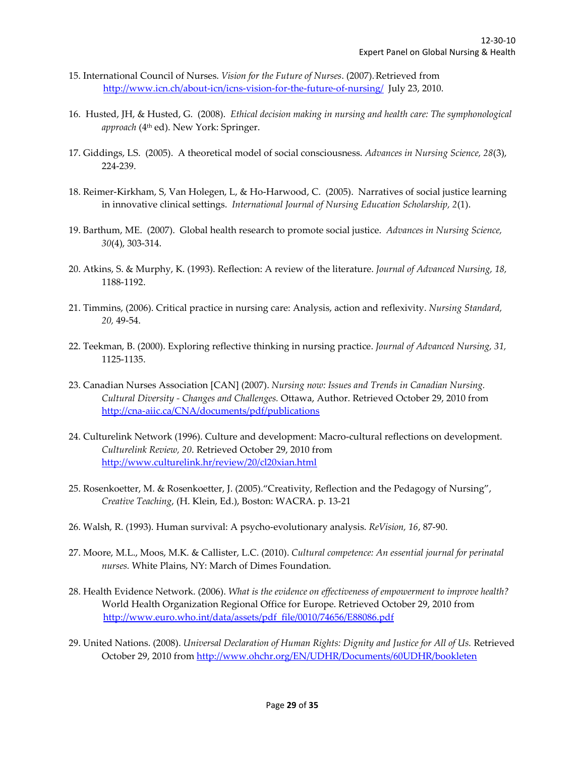- 15. International Council of Nurses. *Vision for the Future of Nurses*. (2007).. Retrieved from <http://www.icn.ch/about-icn/icns-vision-for-the-future-of-nursing/>July 23, 2010.
- 16. Husted, JH, & Husted, G. (2008). *Ethical decision making in nursing and health care: The symphonological*  approach (4<sup>th</sup> ed). New York: Springer.
- 17. Giddings, LS. (2005). A theoretical model of social consciousness. *Advances in Nursing Science, 28*(3), 224-239.
- 18. Reimer-Kirkham, S, Van Holegen, L, & Ho-Harwood, C. (2005). Narratives of social justice learning in innovative clinical settings. *International Journal of Nursing Education Scholarship, 2*(1).
- 19. Barthum, ME. (2007). Global health research to promote social justice. *Advances in Nursing Science, 30*(4), 303-314.
- 20. Atkins, S. & Murphy, K. (1993). Reflection: A review of the literature. *Journal of Advanced Nursing, 18,* 1188-1192.
- 21. Timmins, (2006). Critical practice in nursing care: Analysis, action and reflexivity. *Nursing Standard, 20,* 49-54.
- 22. Teekman, B. (2000). Exploring reflective thinking in nursing practice. *Journal of Advanced Nursing, 31,* 1125-1135.
- 23. Canadian Nurses Association [CAN] (2007). *Nursing now: Issues and Trends in Canadian Nursing. Cultural Diversity - Changes and Challenges.* Ottawa, Author. Retrieved October 29, 2010 from <http://cna-aiic.ca/CNA/documents/pdf/publications>
- 24. Culturelink Network (1996). Culture and development: Macro-cultural reflections on development. *Culturelink Review, 20*. Retrieved October 29, 2010 from <http://www.culturelink.hr/review/20/cl20xian.html>
- 25. Rosenkoetter, M. & Rosenkoetter, J. (2005)."Creativity, Reflection and the Pedagogy of Nursing", *Creative Teaching*, (H. Klein, Ed.), Boston: WACRA. p. 13-21
- 26. Walsh, R. (1993). Human survival: A psycho-evolutionary analysis. *ReVision, 16*, 87-90.
- 27. Moore, M.L., Moos, M.K. & Callister, L.C. (2010). *Cultural competence: An essential journal for perinatal nurses.* White Plains, NY: March of Dimes Foundation.
- 28. Health Evidence Network. (2006). *What is the evidence on effectiveness of empowerment to improve health?*  World Health Organization Regional Office for Europe. Retrieved October 29, 2010 from [http://www.euro.who.int/data/assets/pdf\\_file/0010/74656/E88086.pdf](http://www.euro.who.int/data/assets/pdf_file/0010/74656/E88086.pdf)
- 29. United Nations. (2008). *Universal Declaration of Human Rights: Dignity and Justice for All of Us.* Retrieved October 29, 2010 from<http://www.ohchr.org/EN/UDHR/Documents/60UDHR/bookleten>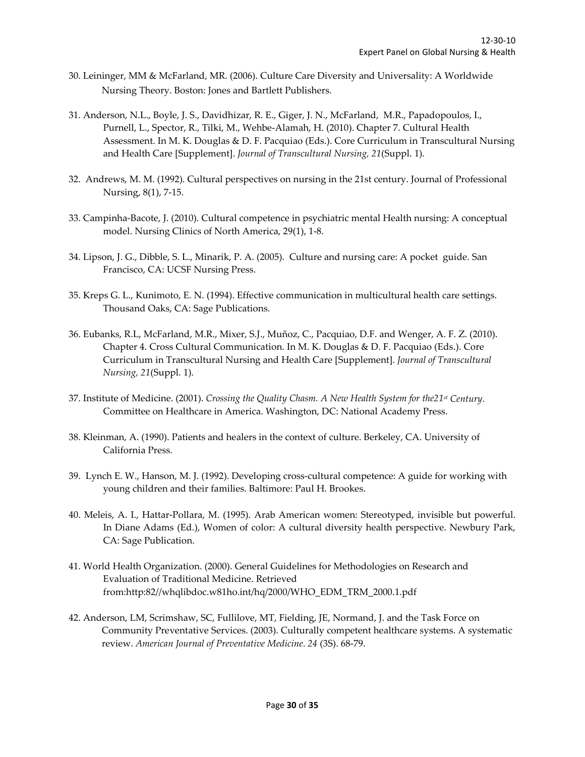- 30. Leininger, MM & McFarland, MR. (2006). Culture Care Diversity and Universality: A Worldwide Nursing Theory. Boston: Jones and Bartlett Publishers.
- 31. Anderson, N.L., Boyle, J. S., Davidhizar, R. E., Giger, J. N., McFarland, M.R., Papadopoulos, I., Purnell, L., Spector, R., Tilki, M., Wehbe-Alamah, H. (2010). Chapter 7. Cultural Health Assessment. In M. K. Douglas & D. F. Pacquiao (Eds.). Core Curriculum in Transcultural Nursing and Health Care [Supplement]. *Journal of Transcultural Nursing, 21*(Suppl. 1).
- 32. Andrews, M. M. (1992). Cultural perspectives on nursing in the 21st century. Journal of Professional Nursing, 8(1), 7-15.
- 33. Campinha-Bacote, J. (2010). Cultural competence in psychiatric mental Health nursing: A conceptual model. Nursing Clinics of North America, 29(1), 1-8.
- 34. Lipson, J. G., Dibble, S. L., Minarik, P. A. (2005). Culture and nursing care: A pocket guide. San Francisco, CA: UCSF Nursing Press.
- 35. Kreps G. L., Kunimoto, E. N. (1994). Effective communication in multicultural health care settings. Thousand Oaks, CA: Sage Publications.
- 36. Eubanks, R.L, McFarland, M.R., Mixer, S.J., Muñoz, C., Pacquiao, D.F. and Wenger, A. F. Z. (2010). Chapter 4. Cross Cultural Communication. In M. K. Douglas & D. F. Pacquiao (Eds.). Core Curriculum in Transcultural Nursing and Health Care [Supplement]. *Journal of Transcultural Nursing, 21*(Suppl. 1).
- 37. Institute of Medicine. (2001). *Crossing the Quality Chasm. A New Health System for the21st Century*. Committee on Healthcare in America. Washington, DC: National Academy Press.
- 38. Kleinman, A. (1990). Patients and healers in the context of culture. Berkeley, CA. University of California Press.
- 39. Lynch E. W., Hanson, M. J. (1992). Developing cross-cultural competence: A guide for working with young children and their families. Baltimore: Paul H. Brookes.
- 40. Meleis, A. I., Hattar-Pollara, M. (1995). Arab American women: Stereotyped, invisible but powerful. In Diane Adams (Ed.), Women of color: A cultural diversity health perspective. Newbury Park, CA: Sage Publication.
- 41. World Health Organization. (2000). General Guidelines for Methodologies on Research and Evaluation of Traditional Medicine. Retrieved from:http:82//whqlibdoc.w81ho.int/hq/2000/WHO\_EDM\_TRM\_2000.1.pdf
- 42. Anderson, LM, Scrimshaw, SC, Fullilove, MT, Fielding, JE, Normand, J. and the Task Force on Community Preventative Services. (2003). Culturally competent healthcare systems. A systematic review. *American Journal of Preventative Medicine*. *24* (3S). 68-79.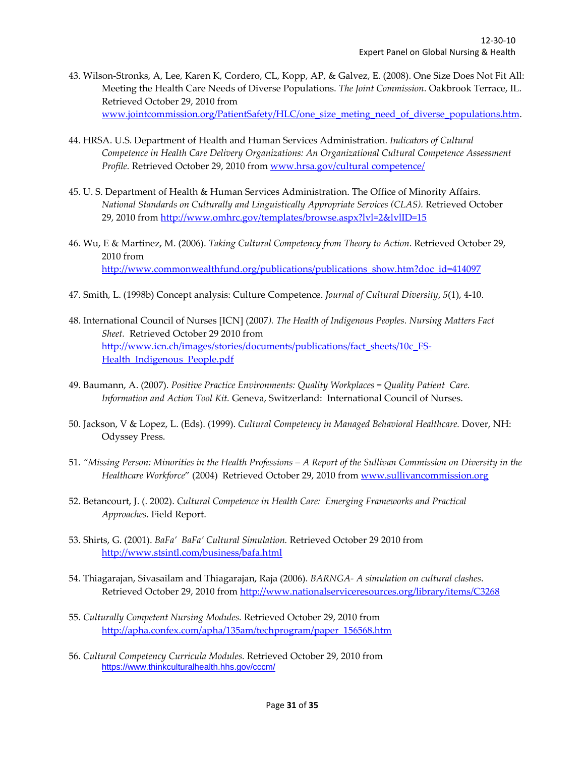- 43. Wilson-Stronks, A, Lee, Karen K, Cordero, CL, Kopp, AP, & Galvez, E. (2008). One Size Does Not Fit All: Meeting the Health Care Needs of Diverse Populations. *The Joint Commission*. Oakbrook Terrace, IL. Retrieved October 29, 2010 from www.jointcommission.org/PatientSafety/HLC/one size meting need of diverse populations.htm.
- 44. HRSA. U.S. Department of Health and Human Services Administration. *Indicators of Cultural Competence in Health Care Delivery Organizations: An Organizational Cultural Competence Assessment Profile.* Retrieved October 29, 2010 from [www.hrsa.gov/cultural competence/](http://www.hrsa.gov/cultural%20competence/)
- 45. U. S. Department of Health & Human Services Administration. The Office of Minority Affairs. *National Standards on Culturally and Linguistically Appropriate Services (CLAS).* Retrieved October 29, 2010 from<http://www.omhrc.gov/templates/browse.aspx?lvl=2&lvlID=15>
- 46. Wu, E & Martinez, M. (2006). *Taking Cultural Competency from Theory to Action*. Retrieved October 29, 2010 from [http://www.commonwealthfund.org/publications/publications\\_show.htm?doc\\_id=414097](http://www.commonwealthfund.org/publications/publications_show.htm?doc_id=414097)
- 47. Smith, L. (1998b) Concept analysis: Culture Competence. *Journal of Cultural Diversity*, *5*(1), 4-10.
- 48. International Council of Nurses [ICN] (2007*). The Health of Indigenous Peoples. Nursing Matters Fact Sheet.* Retrieved October 29 2010 from [http://www.icn.ch/images/stories/documents/publications/fact\\_sheets/10c\\_FS-](http://www.icn.ch/images/stories/documents/publications/fact_sheets/10c_FS-Health_Indigenous_People.pdf)Health Indigenous People.pdf
- 49. Baumann, A. (2007). *Positive Practice Environments: Quality Workplaces = Quality Patient Care. Information and Action Tool Kit.* Geneva, Switzerland: International Council of Nurses.
- 50. Jackson, V & Lopez, L. (Eds). (1999). *Cultural Competency in Managed Behavioral Healthcare.* Dover, NH: Odyssey Press.
- 51. *"Missing Person: Minorities in the Health Professions – A Report of the Sullivan Commission on Diversity in the Healthcare Workforce*" (2004) Retrieved October 29, 2010 from [www.sullivancommission.org](http://www.sullivancommission.org/)
- 52. Betancourt, J. (. 2002). *Cultural Competence in Health Care: Emerging Frameworks and Practical Approaches*. Field Report.
- 53. Shirts, G. (2001). *BaFa' BaFa' Cultural Simulation.* Retrieved October 29 2010 from <http://www.stsintl.com/business/bafa.html>
- 54. Thiagarajan, Sivasailam and Thiagarajan, Raja (2006). *BARNGA- A simulation on cultural clashes*. Retrieved October 29, 2010 from <http://www.nationalserviceresources.org/library/items/C3268>
- 55. *Culturally Competent Nursing Modules.* Retrieved October 29, 2010 from [http://apha.confex.com/apha/135am/techprogram/paper\\_156568.htm](http://apha.confex.com/apha/135am/techprogram/paper_156568.htm)
- 56. *Cultural Competency Curricula Modules.* Retrieved October 29, 2010 from <https://www.thinkculturalhealth.hhs.gov/cccm/>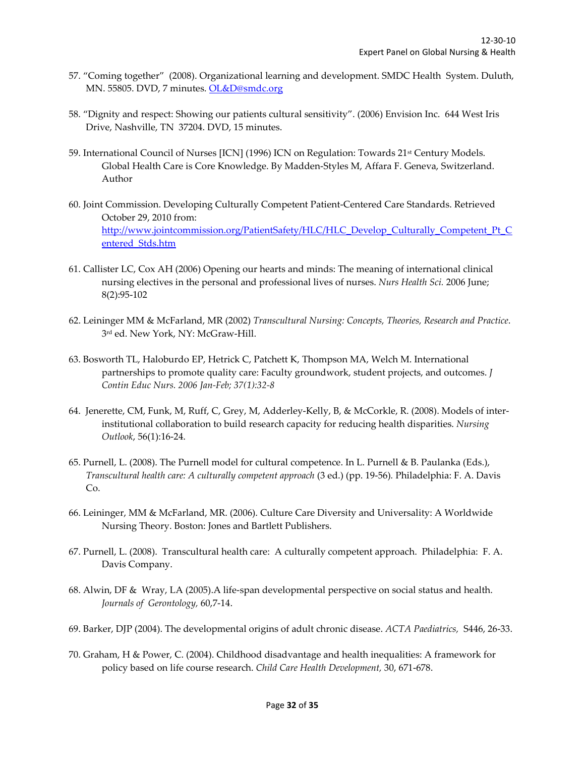- 57. "Coming together" (2008). Organizational learning and development. SMDC Health System. Duluth, MN. 55805. DVD, 7 minutes. [OL&D@smdc.org](mailto:OL&D@smdc.org)
- 58. "Dignity and respect: Showing our patients cultural sensitivity". (2006) Envision Inc. 644 West Iris Drive, Nashville, TN 37204. DVD, 15 minutes.
- 59. International Council of Nurses [ICN] (1996) ICN on Regulation: Towards 21<sup>st</sup> Century Models. Global Health Care is Core Knowledge. By Madden-Styles M, Affara F. Geneva, Switzerland. Author
- 60. Joint Commission. Developing Culturally Competent Patient-Centered Care Standards. Retrieved October 29, 2010 from: [http://www.jointcommission.org/PatientSafety/HLC/HLC\\_Develop\\_Culturally\\_Competent\\_Pt\\_C](http://www.jointcommission.org/PatientSafety/HLC/HLC_Develop_Culturally_Competent_Pt_Centered_Stds.htm) [entered\\_Stds.htm](http://www.jointcommission.org/PatientSafety/HLC/HLC_Develop_Culturally_Competent_Pt_Centered_Stds.htm)
- 61. Callister LC, Cox AH (2006) Opening our hearts and minds: The meaning of international clinical nursing electives in the personal and professional lives of nurses. *Nurs Health Sci.* 2006 June; 8(2):95-102
- 62. Leininger MM & McFarland, MR (2002) *Transcultural Nursing: Concepts, Theories, Research and Practice*. 3rd ed. New York, NY: McGraw-Hill.
- 63. Bosworth TL, Haloburdo EP, Hetrick C, Patchett K, Thompson MA, Welch M. International partnerships to promote quality care: Faculty groundwork, student projects, and outcomes. *J Contin Educ Nurs. 2006 Jan-Feb; 37(1):32-8*
- 64. Jenerette, CM, Funk, M, Ruff, C, Grey, M, Adderley-Kelly, B, & McCorkle, R. (2008). Models of interinstitutional collaboration to build research capacity for reducing health disparities. *Nursing Outlook*, 56(1):16-24.
- 65. Purnell, L. (2008). The Purnell model for cultural competence. In L. Purnell & B. Paulanka (Eds.), *Transcultural health care: A culturally competent approach* (3 ed.) (pp. 19-56)*.* Philadelphia: F. A. Davis Co.
- 66. Leininger, MM & McFarland, MR. (2006). Culture Care Diversity and Universality: A Worldwide Nursing Theory. Boston: Jones and Bartlett Publishers.
- 67. Purnell, L. (2008). Transcultural health care: A culturally competent approach. Philadelphia: F. A. Davis Company.
- 68. Alwin, DF & Wray, LA (2005).A life-span developmental perspective on social status and health. *Journals of Gerontology,* 60,7-14.
- 69. Barker, DJP (2004). The developmental origins of adult chronic disease. *ACTA Paediatrics,* S446, 26-33.
- 70. Graham, H & Power, C. (2004). Childhood disadvantage and health inequalities: A framework for policy based on life course research. *Child Care Health Development,* 30, 671-678.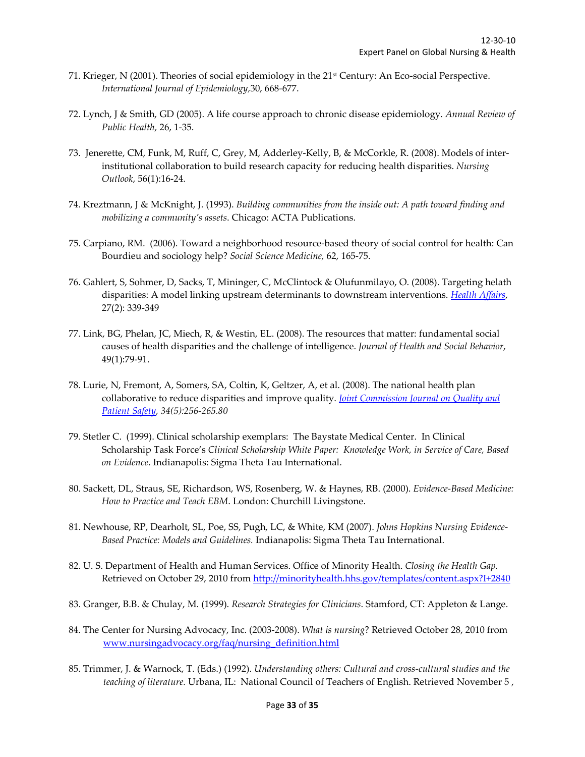- 71. Krieger, N (2001). Theories of social epidemiology in the 21<sup>st</sup> Century: An Eco-social Perspective. *International Journal of Epidemiology,*30, 668-677.
- 72. Lynch, J & Smith, GD (2005). A life course approach to chronic disease epidemiology. *Annual Review of Public Health,* 26, 1-35.
- 73. Jenerette, CM, Funk, M, Ruff, C, Grey, M, Adderley-Kelly, B, & McCorkle, R. (2008). Models of interinstitutional collaboration to build research capacity for reducing health disparities. *Nursing Outlook*, 56(1):16-24.
- 74. Kreztmann, J & McKnight, J. (1993). *Building communities from the inside out: A path toward finding and mobilizing a community's assets*. Chicago: ACTA Publications.
- 75. Carpiano, RM. (2006). Toward a neighborhood resource-based theory of social control for health: Can Bourdieu and sociology help? *Social Science Medicine,* 62, 165-75.
- 76. Gahlert, S, Sohmer, D, Sacks, T, Mininger, C, McClintock & Olufunmilayo, O. (2008). Targeting helath disparities: A model linking upstream determinants to downstream interventions. *[Health Affairs](http://www.healthaffairs.org/)*, 27(2): 339-349
- 77. Link, BG, Phelan, JC, Miech, R, & Westin, EL. (2008). The resources that matter: fundamental social causes of health disparities and the challenge of intelligence. *Journal of Health and Social Behavior*, 49(1):79-91.
- 78. Lurie, N, Fremont, A, Somers, SA, Coltin, K, Geltzer, A, et al. (2008). The national health plan collaborative to reduce disparities and improve quality. *[Joint Commission Journal on Quality and](http://www.ingentaconnect.com/content/jcaho/jcjqs)  [Patient Safety,](http://www.ingentaconnect.com/content/jcaho/jcjqs) 34(5):256-265.80*
- 79. Stetler C. (1999). Clinical scholarship exemplars: The Baystate Medical Center. In Clinical Scholarship Task Force's *Clinical Scholarship White Paper: Knowledge Work, in Service of Care, Based on Evidence*. Indianapolis: Sigma Theta Tau International.
- 80. Sackett, DL, Straus, SE, Richardson, WS, Rosenberg, W. & Haynes, RB. (2000). *Evidence-Based Medicine: How to Practice and Teach EBM*. London: Churchill Livingstone.
- 81. Newhouse, RP, Dearholt, SL, Poe, SS, Pugh, LC, & White, KM (2007). *Johns Hopkins Nursing Evidence-Based Practice: Models and Guidelines.* Indianapolis: Sigma Theta Tau International.
- 82. U. S. Department of Health and Human Services. Office of Minority Health. *Closing the Health Gap.* Retrieved on October 29, 2010 from <http://minorityhealth.hhs.gov/templates/content.aspx?I+2840>
- 83. Granger, B.B. & Chulay, M. (1999). *Research Strategies for Clinicians*. Stamford, CT: Appleton & Lange.
- 84. The Center for Nursing Advocacy, Inc. (2003-2008). *What is nursing*? Retrieved October 28, 2010 from [www.nursingadvocacy.org/faq/nursing\\_definition.html](http://www.nursingadvocacy.org/faq/nursing_definition.html)
- 85. Trimmer, J. & Warnock, T. (Eds.) (1992). *Understanding others: Cultural and cross-cultural studies and the teaching of literature.* Urbana, IL: National Council of Teachers of English. Retrieved November 5 ,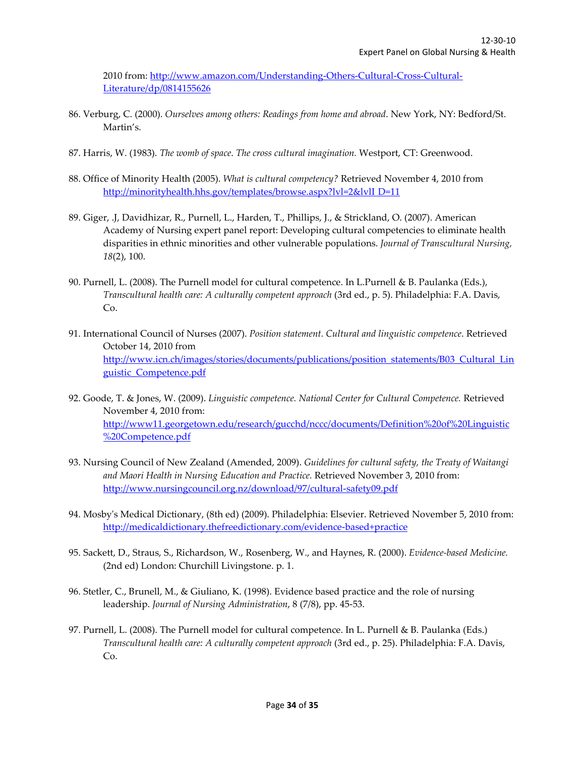2010 from: [http://www.amazon.com/Understanding-Others-Cultural-Cross-Cultural-](http://www.amazon.com/Understanding-Others-Cultural-Cross-Cultural-Literature/dp/0814155626)[Literature/dp/0814155626](http://www.amazon.com/Understanding-Others-Cultural-Cross-Cultural-Literature/dp/0814155626)

- 86. Verburg, C. (2000). *Ourselves among others: Readings from home and abroad*. New York, NY: Bedford/St. Martin's.
- 87. Harris, W. (1983). *The womb of space*. *The cross cultural imagination.* Westport, CT: Greenwood.
- 88. Office of Minority Health (2005). *What is cultural competency?* Retrieved November 4, 2010 from [http://minorityhealth.hhs.gov/templates/browse.aspx?lvl=2&lvlI](http://minorityhealth.hhs.gov/templates/browse.aspx?lvl=2&lvlI%09D=11) D=11
- 89. Giger, .J, Davidhizar, R., Purnell, L., Harden, T., Phillips, J., & Strickland, O. (2007). American Academy of Nursing expert panel report: Developing cultural competencies to eliminate health disparities in ethnic minorities and other vulnerable populations. *Journal of Transcultural Nursing, 18*(2), 100.
- 90. Purnell, L. (2008). The Purnell model for cultural competence. In L.Purnell & B. Paulanka (Eds.), *Transcultural health care: A culturally competent approach* (3rd ed., p. 5). Philadelphia: F.A. Davis, Co.
- 91. International Council of Nurses (2007). *Position statement. Cultural and linguistic competence*. Retrieved October 14, 2010 from [http://www.icn.ch/images/stories/documents/publications/position\\_statements/B03\\_Cultural\\_Lin](http://www.icn.ch/images/stories/documents/publications/position_statements/B03_Cultural_Linguistic_Competence.pdf) [guistic\\_Competence.pdf](http://www.icn.ch/images/stories/documents/publications/position_statements/B03_Cultural_Linguistic_Competence.pdf)
- 92. Goode, T. & Jones, W. (2009). *Linguistic competence. National Center for Cultural Competence.* Retrieved November 4, 2010 from: [http://www11.georgetown.edu/research/gucchd/nccc/documents/Definition%20of%20Linguistic](http://www11.georgetown.edu/research/gucchd/nccc/documents/Definition%20of%20Linguistic%20Competence.pdf) [%20Competence.pdf](http://www11.georgetown.edu/research/gucchd/nccc/documents/Definition%20of%20Linguistic%20Competence.pdf)
- 93. Nursing Council of New Zealand (Amended, 2009). *Guidelines for cultural safety, the Treaty of Waitangi and Maori Health in Nursing Education and Practice.* Retrieved November 3, 2010 from: <http://www.nursingcouncil.org.nz/download/97/cultural-safety09.pdf>
- 94. Mosby's Medical Dictionary, (8th ed) (2009). Philadelphia: Elsevier. Retrieved November 5, 2010 from: <http://medicaldictionary.thefreedictionary.com/evidence-based+practice>
- 95. Sackett, D., Straus, S., Richardson, W., Rosenberg, W., and Haynes, R. (2000). *Evidence-based Medicine.*  (2nd ed) London: Churchill Livingstone. p. 1.
- 96. Stetler, C., Brunell, M., & Giuliano, K. (1998). Evidence based practice and the role of nursing leadership. *Journal of Nursing Administration*, 8 (7/8), pp. 45-53.
- 97. Purnell, L. (2008). The Purnell model for cultural competence. In L. Purnell & B. Paulanka (Eds.) *Transcultural health care: A culturally competent approach* (3rd ed., p. 25). Philadelphia: F.A. Davis,  $Co.$